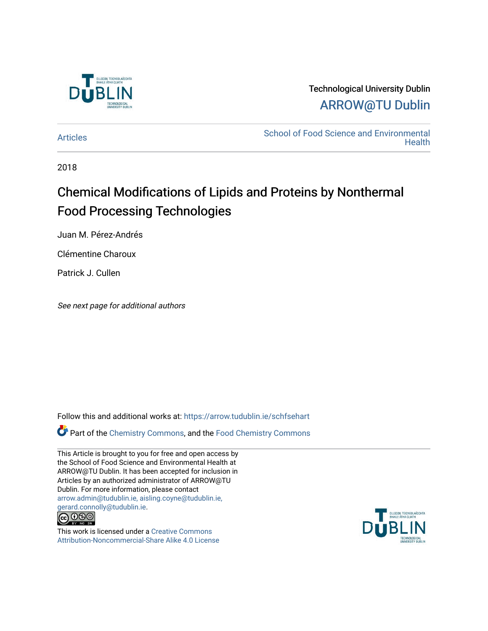

# Technological University Dublin [ARROW@TU Dublin](https://arrow.tudublin.ie/)

[Articles](https://arrow.tudublin.ie/schfsehart) **School of Food Science and Environmental Health** 

2018

# Chemical Modifications of Lipids and Proteins by Nonthermal Food Processing Technologies

Juan M. Pérez-Andrés

Clémentine Charoux

Patrick J. Cullen

See next page for additional authors

Follow this and additional works at: [https://arrow.tudublin.ie/schfsehart](https://arrow.tudublin.ie/schfsehart?utm_source=arrow.tudublin.ie%2Fschfsehart%2F451&utm_medium=PDF&utm_campaign=PDFCoverPages) 

Part of the [Chemistry Commons,](http://network.bepress.com/hgg/discipline/131?utm_source=arrow.tudublin.ie%2Fschfsehart%2F451&utm_medium=PDF&utm_campaign=PDFCoverPages) and the [Food Chemistry Commons](http://network.bepress.com/hgg/discipline/87?utm_source=arrow.tudublin.ie%2Fschfsehart%2F451&utm_medium=PDF&utm_campaign=PDFCoverPages) 

This Article is brought to you for free and open access by the School of Food Science and Environmental Health at ARROW@TU Dublin. It has been accepted for inclusion in Articles by an authorized administrator of ARROW@TU Dublin. For more information, please contact [arrow.admin@tudublin.ie, aisling.coyne@tudublin.ie,](mailto:arrow.admin@tudublin.ie,%20aisling.coyne@tudublin.ie,%20gerard.connolly@tudublin.ie)  [gerard.connolly@tudublin.ie](mailto:arrow.admin@tudublin.ie,%20aisling.coyne@tudublin.ie,%20gerard.connolly@tudublin.ie).



This work is licensed under a [Creative Commons](http://creativecommons.org/licenses/by-nc-sa/4.0/) [Attribution-Noncommercial-Share Alike 4.0 License](http://creativecommons.org/licenses/by-nc-sa/4.0/)

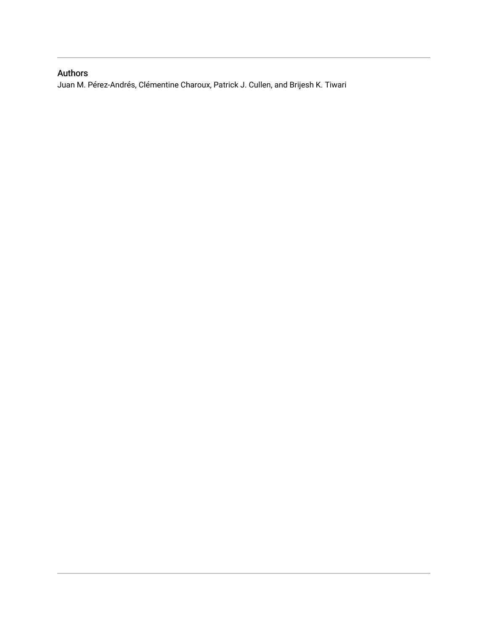## Authors

Juan M. Pérez-Andrés, Clémentine Charoux, Patrick J. Cullen, and Brijesh K. Tiwari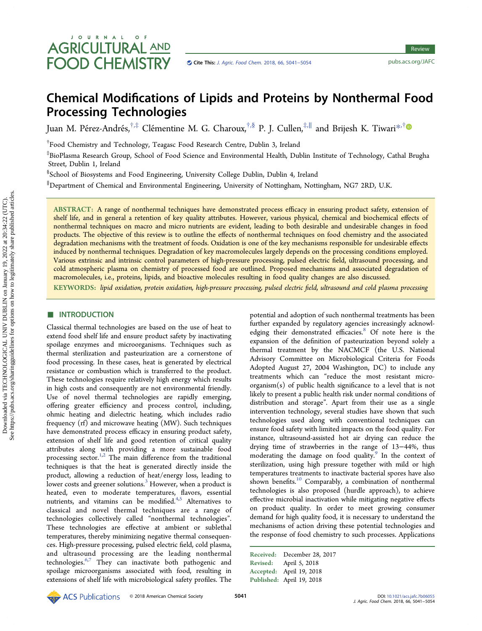# JOURNAL OF **AGRICULTURAL AND FOOD CHEMISTRY**

# Chemical Modifications of Lipids and Proteins by Nonthermal Food Processing Technologies

Juan M. Pérez-Andrés,<sup>†,‡</sup> Clémentine M. G. Charoux,<sup>†,§</sup> P. J. Cullen,<sup>‡,∥</sup> and Brijesh K. Tiwari[\\*](#page-11-0)<sup>,†</sup>

† Food Chemistry and Technology, Teagasc Food Research Centre, Dublin 3, Ireland

‡ BioPlasma Research Group, School of Food Science and Environmental Health, Dublin Institute of Technology, Cathal Brugha Street, Dublin 1, Ireland

§ School of Biosystems and Food Engineering, University College Dublin, Dublin 4, Ireland

∥ Department of Chemical and Environmental Engineering, University of Nottingham, Nottingham, NG7 2RD, U.K.

ABSTRACT: A range of nonthermal techniques have demonstrated process efficacy in ensuring product safety, extension of shelf life, and in general a retention of key quality attributes. However, various physical, chemical and biochemical effects of nonthermal techniques on macro and micro nutrients are evident, leading to both desirable and undesirable changes in food products. The objective of this review is to outline the effects of nonthermal techniques on food chemistry and the associated degradation mechanisms with the treatment of foods. Oxidation is one of the key mechanisms responsible for undesirable effects induced by nonthermal techniques. Degradation of key macromolecules largely depends on the processing conditions employed. Various extrinsic and intrinsic control parameters of high-pressure processing, pulsed electric field, ultrasound processing, and cold atmospheric plasma on chemistry of processed food are outlined. Proposed mechanisms and associated degradation of macromolecules, i.e., proteins, lipids, and bioactive molecules resulting in food quality changes are also discussed.

KEYWORDS: lipid oxidation, protein oxidation, high-pressure processing, pulsed electric field, ultrasound and cold plasma processing

### **■ INTRODUCTION**

Classical thermal technologies are based on the use of heat to extend food shelf life and ensure product safety by inactivating spoilage enzymes and microorganisms. Techniques such as thermal sterilization and pasteurization are a cornerstone of food processing. In these cases, heat is generated by electrical resistance or combustion which is transferred to the product. These technologies require relatively high energy which results in high costs and consequently are not environmental friendly. Use of novel thermal technologies are rapidly emerging, offering greater efficiency and process control, including, ohmic heating and dielectric heating, which includes radio frequency (rf) and microwave heating (MW). Such techniques have demonstrated process efficacy in ensuring product safety, extension of shelf life and good retention of critical quality attributes along with providing a more sustainable food processing sector.<sup>[1](#page-11-0),[2](#page-11-0)</sup> The main difference from the traditional techniques is that the heat is generated directly inside the product, allowing a reduction of heat/energy loss, leading to lower costs and greener solutions.<sup>[3](#page-11-0)</sup> However, when a product is heated, even to moderate temperatures, flavors, essential nutrients, and vitamins can be modified. $4,5$  $4,5$  $4,5$  Alternatives to classical and novel thermal techniques are a range of technologies collectively called "nonthermal technologies". These technologies are effective at ambient or sublethal temperatures, thereby minimizing negative thermal consequences. High-pressure processing, pulsed electric field, cold plasma, and ultrasound processing are the leading nonthermal technologies.<sup>[6,7](#page-12-0)</sup> They can inactivate both pathogenic and spoilage microorganisms associated with food, resulting in extensions of shelf life with microbiological safety profiles. The

potential and adoption of such nonthermal treatments has been further expanded by regulatory agencies increasingly acknowl-edging their demonstrated efficacies.<sup>[8](#page-12-0)</sup> Of note here is the expansion of the definition of pasteurization beyond solely a thermal treatment by the NACMCF (the U.S. National Advisory Committee on Microbiological Criteria for Foods Adopted August 27, 2004 Washington, DC) to include any treatments which can "reduce the most resistant microorganism(s) of public health significance to a level that is not likely to present a public health risk under normal conditions of distribution and storage". Apart from their use as a single intervention technology, several studies have shown that such technologies used along with conventional techniques can ensure food safety with limited impacts on the food quality. For instance, ultrasound-assisted hot air drying can reduce the drying time of strawberries in the range of 13−44%, thus moderating the damage on food quality.<sup>[9](#page-12-0)</sup> In the context of sterilization, using high pressure together with mild or high temperatures treatments to inactivate bacterial spores have also shown benefits.<sup>[10](#page-12-0)</sup> Comparably, a combination of nonthermal technologies is also proposed (hurdle approach), to achieve effective microbial inactivation while mitigating negative effects on product quality. In order to meet growing consumer demand for high quality food, it is necessary to understand the mechanisms of action driving these potential technologies and the response of food chemistry to such processes. Applications

Received: December 28, 2017 Revised: April 5, 2018 Accepted: April 19, 2018 Published: April 19, 2018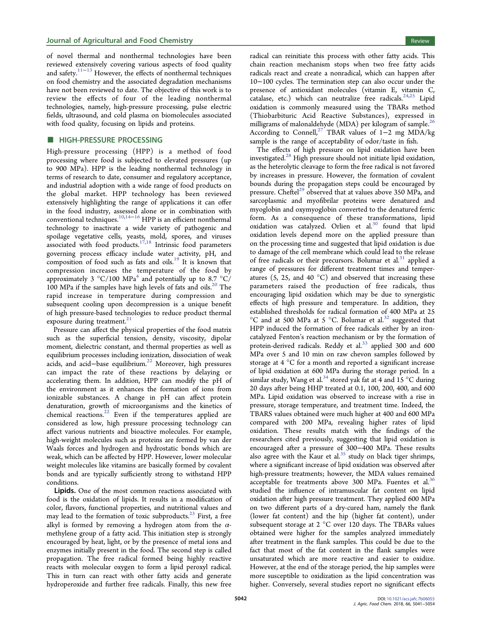of novel thermal and nonthermal technologies have been reviewed extensively covering various aspects of food quality and safety.[11](#page-12-0)−[13](#page-12-0) However, the effects of nonthermal techniques on food chemistry and the associated degradation mechanisms have not been reviewed to date. The objective of this work is to review the effects of four of the leading nonthermal technologies, namely, high-pressure processing, pulse electric fields, ultrasound, and cold plasma on biomolecules associated with food quality, focusing on lipids and proteins.

#### **ENDINGH-PRESSURE PROCESSING**

High-pressure processing (HPP) is a method of food processing where food is subjected to elevated pressures (up to 900 MPa). HPP is the leading nonthermal technology in terms of research to date, consumer and regulatory acceptance, and industrial adoption with a wide range of food products on the global market. HPP technology has been reviewed extensively highlighting the range of applications it can offer in the food industry, assessed alone or in combination with conventional techniques.[10,14](#page-12-0)−[16](#page-12-0) HPP is an efficient nonthermal technology to inactivate a wide variety of pathogenic and spoilage vegetative cells, yeasts, mold, spores, and viruses associated with food products. $17,18$  $17,18$  $17,18$  Intrinsic food parameters governing process efficacy include water activity, pH, and composition of food such as fats and oils.<sup>[19](#page-12-0)</sup> It is known that compression increases the temperature of the food by approximately 3  $^{\circ}$ C/100 MPa<sup>[4](#page-11-0)</sup> and potentially up to 8.7  $^{\circ}$ C/ 100 MPa if the samples have high levels of fats and oils.<sup>20</sup> The rapid increase in temperature during compression and subsequent cooling upon decompression is a unique benefit of high pressure-based technologies to reduce product thermal exposure during treatment. $21$ 

Pressure can affect the physical properties of the food matrix such as the superficial tension, density, viscosity, dipolar moment, dielectric constant, and thermal properties as well as equilibrium processes including ionization, dissociation of weak acids, and acid–base equilibrium.<sup>[22](#page-12-0)</sup> Moreover, high pressures can impact the rate of these reactions by delaying or accelerating them. In addition, HPP can modify the pH of the environment as it enhances the formation of ions from ionizable substances. A change in pH can affect protein denaturation, growth of microorganisms and the kinetics of chemical reactions. $22$  Even if the temperatures applied are considered as low, high pressure processing technology can affect various nutrients and bioactive molecules. For example, high-weight molecules such as proteins are formed by van der Waals forces and hydrogen and hydrostatic bonds which are weak, which can be affected by HPP. However, lower molecular weight molecules like vitamins are basically formed by covalent bonds and are typically sufficiently strong to withstand HPP conditions.

Lipids. One of the most common reactions associated with food is the oxidation of lipids. It results in a modification of color, flavors, functional properties, and nutritional values and may lead to the formation of toxic subproducts. $^{23}$  $^{23}$  $^{23}$  First, a free alkyl is formed by removing a hydrogen atom from the  $\alpha$ methylene group of a fatty acid. This initiation step is strongly encouraged by heat, light, or by the presence of metal ions and enzymes initially present in the food. The second step is called propagation. The free radical formed being highly reactive reacts with molecular oxygen to form a lipid peroxyl radical. This in turn can react with other fatty acids and generate hydroperoxide and further free radicals. Finally, this new free

radical can reinitiate this process with other fatty acids. This chain reaction mechanism stops when two free fatty acids radicals react and create a nonradical, which can happen after 10−100 cycles. The termination step can also occur under the presence of antioxidant molecules (vitamin E, vitamin C, catalase, etc.) which can neutralize free radicals.<sup>[24](#page-12-0),[25](#page-12-0)</sup> Lipid oxidation is commonly measured using the TBARs method (Thiobarbituric Acid Reactive Substances), expressed in milligrams of malonaldehyde (MDA) per kilogram of sample. $^{26}$  $^{26}$  $^{26}$ According to Connell,<sup>[27](#page-12-0)</sup> TBAR values of 1-2 mg MDA/kg sample is the range of acceptability of odor/taste in fish.

The effects of high pressure on lipid oxidation have been investigated.[28](#page-12-0) High pressure should not initiate lipid oxidation, as the heterolytic cleavage to form the free radical is not favored by increases in pressure. However, the formation of covalent bounds during the propagation steps could be encouraged by pressure. Cheftel<sup>29</sup> observed that at values above 350 MPa, and sarcoplasmic and myofibrilar proteins were denatured and myoglobin and oxymyoglobin converted to the denatured ferric form. As a consequence of these transformations, lipid oxidation was catalyzed. Orlien et al.<sup>[30](#page-12-0)</sup> found that lipid oxidation levels depend more on the applied pressure than on the processing time and suggested that lipid oxidation is due to damage of the cell membrane which could lead to the release of free radicals or their precursors. Bolumar et al.<sup>[31](#page-12-0)</sup> applied a range of pressures for different treatment times and temperatures (5, 25, and 40  $^{\circ}$ C) and observed that increasing these parameters raised the production of free radicals, thus encouraging lipid oxidation which may be due to synergistic effects of high pressure and temperature. In addition, they established thresholds for radical formation of 400 MPa at 25  $^{\circ}$ C and at 500 MPa at 5  $^{\circ}$ C. Bolumar et al.<sup>[32](#page-12-0)</sup> suggested that HPP induced the formation of free radicals either by an ironcatalyzed Fenton's reaction mechanism or by the formation of protein-derived radicals. Reddy et al.<sup>[33](#page-12-0)</sup> applied 300 and 600 MPa over 5 and 10 min on raw chevon samples followed by storage at 4 °C for a month and reported a significant increase of lipid oxidation at 600 MPa during the storage period. In a similar study, Wang et al.<sup>[34](#page-12-0)</sup> stored yak fat at 4 and  $15^{\circ}$ C during 20 days after being HHP treated at 0.1, 100, 200, 400, and 600 MPa. Lipid oxidation was observed to increase with a rise in pressure, storage temperature, and treatment time. Indeed, the TBARS values obtained were much higher at 400 and 600 MPa compared with 200 MPa, revealing higher rates of lipid oxidation. These results match with the findings of the researchers cited previously, suggesting that lipid oxidation is encouraged after a pressure of 300−400 MPa. These results also agree with the Kaur et al. $35$  study on black tiger shrimps, where a significant increase of lipid oxidation was observed after high-pressure treatments; however, the MDA values remained acceptable for treatments above 300 MPa. Fuentes et al.<sup>[36](#page-12-0)</sup> studied the influence of intramuscular fat content on lipid oxidation after high pressure treatment. They applied 600 MPa on two different parts of a dry-cured ham, namely the flank (lower fat content) and the hip (higher fat content), under subsequent storage at 2 °C over 120 days. The TBARs values obtained were higher for the samples analyzed immediately after treatment in the flank samples. This could be due to the fact that most of the fat content in the flank samples were unsaturated which are more reactive and easier to oxidize. However, at the end of the storage period, the hip samples were more susceptible to oxidization as the lipid concentration was higher. Conversely, several studies report no significant effects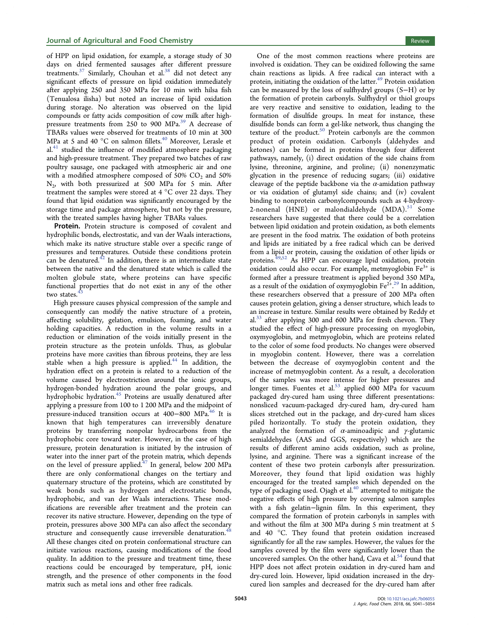of HPP on lipid oxidation, for example, a storage study of 30 days on dried fermented sausages after different pressure treatments. $37$  Similarly, Chouhan et al. $38$  did not detect any significant effects of pressure on lipid oxidation immediately after applying 250 and 350 MPa for 10 min with hilsa fish (Tenualosa ilisha) but noted an increase of lipid oxidation during storage. No alteration was observed on the lipid compounds or fatty acids composition of cow milk after highpressure treatments from 250 to 900 MPa.[39](#page-12-0) A decrease of TBARs values were observed for treatments of 10 min at 300 MPa at 5 and [40](#page-12-0)  $^{\circ}$ C on salmon fillets.<sup>40</sup> Moreover, Lerasle et  $al<sup>41</sup>$  $al<sup>41</sup>$  $al<sup>41</sup>$  studied the influence of modified atmosphere packaging and high-pressure treatment. They prepared two batches of raw poultry sausage, one packaged with atmospheric air and one with a modified atmosphere composed of  $50\%$  CO<sub>2</sub> and  $50\%$  $N<sub>2</sub>$ , with both pressurized at 500 MPa for 5 min. After treatment the samples were stored at 4 °C over 22 days. They found that lipid oxidation was significantly encouraged by the storage time and package atmosphere, but not by the pressure, with the treated samples having higher TBARs values.

Protein. Protein structure is composed of covalent and hydrophilic bonds, electrostatic, and van der Waals interactions, which make its native structure stable over a specific range of pressures and temperatures. Outside these conditions protein can be denatured. $^{42}$  $^{42}$  $^{42}$  In addition, there is an intermediate state between the native and the denatured state which is called the molten globule state, where proteins can have specific functional properties that do not exist in any of the other two states.<sup>4</sup>

High pressure causes physical compression of the sample and consequently can modify the native structure of a protein, affecting solubility, gelation, emulsion, foaming, and water holding capacities. A reduction in the volume results in a reduction or elimination of the voids initially present in the protein structure as the protein unfolds. Thus, as globular proteins have more cavities than fibrous proteins, they are less stable when a high pressure is applied.<sup>[44](#page-12-0)</sup> In addition, the hydration effect on a protein is related to a reduction of the volume caused by electrostriction around the ionic groups, hydrogen-bonded hydration around the polar groups, and hydrophobic hydration.<sup>[45](#page-13-0)</sup> Proteins are usually denatured after applying a pressure from 100 to 1 200 MPa and the midpoint of pressure-induced transition occurs at 400–800 MPa.<sup>[46](#page-13-0)</sup> It is known that high temperatures can irreversibly denature proteins by transferring nonpolar hydrocarbons from the hydrophobic core toward water. However, in the case of high pressure, protein denaturation is initiated by the intrusion of water into the inner part of the protein matrix, which depends on the level of pressure applied.<sup>[47](#page-13-0)</sup> In general, below 200 MPa there are only conformational changes on the tertiary and quaternary structure of the proteins, which are constituted by weak bonds such as hydrogen and electrostatic bonds, hydrophobic, and van der Waals interactions. These modifications are reversible after treatment and the protein can recover its native structure. However, depending on the type of protein, pressures above 300 MPa can also affect the secondary structure and consequently cause irreversible denaturation.<sup>4</sup> All these changes cited on protein conformational structure can initiate various reactions, causing modifications of the food quality. In addition to the pressure and treatment time, these reactions could be encouraged by temperature, pH, ionic strength, and the presence of other components in the food matrix such as metal ions and other free radicals.

One of the most common reactions where proteins are involved is oxidation. They can be oxidized following the same chain reactions as lipids. A free radical can interact with a protein, initiating the oxidation of the latter.<sup>[49](#page-13-0)</sup> Protein oxidation can be measured by the loss of sulfhydryl groups (S−H) or by the formation of protein carbonyls. Sulfhydryl or thiol groups are very reactive and sensitive to oxidation, leading to the formation of disulfide groups. In meat for instance, these disulfide bonds can form a gel-like network, thus changing the texture of the product. $50$  Protein carbonyls are the common product of protein oxidation. Carbonyls (aldehydes and ketones) can be formed in proteins through four different pathways, namely, (i) direct oxidation of the side chains from lysine, threonine, arginine, and proline; (ii) nonenzymatic glycation in the presence of reducing sugars; (iii) oxidative cleavage of the peptide backbone via the  $\alpha$ -amidation pathway or via oxidation of glutamyl side chains; and (iv) covalent binding to nonprotein carbonylcompounds such as 4-hydroxy-2-nonenal (HNE) or malondialdehyde  $(MDA).<sup>51'</sup>$  $(MDA).<sup>51'</sup>$  $(MDA).<sup>51'</sup>$  Some researchers have suggested that there could be a correlation between lipid oxidation and protein oxidation, as both elements are present in the food matrix. The oxidation of both proteins and lipids are initiated by a free radical which can be derived from a lipid or protein, causing the oxidation of other lipids or proteins.<sup>[49](#page-13-0),[52](#page-13-0)</sup> As HPP can encourage lipid oxidation, protein oxidation could also occur. For example, metmyoglobin  $Fe<sup>3+</sup>$  is formed after a pressure treatment is applied beyond 350 MPa, as a result of the oxidation of oxymyoglobin  $\text{Fe}^{2+,29}$  $\text{Fe}^{2+,29}$  $\text{Fe}^{2+,29}$  In addition, these researchers observed that a pressure of 200 MPa often causes protein gelation, giving a denser structure, which leads to an increase in texture. Similar results were obtained by Reddy et al. $33$  after applying 300 and 600 MPa for fresh chevon. They studied the effect of high-pressure processing on myoglobin, oxymyoglobin, and metmyoglobin, which are proteins related to the color of some food products. No changes were observed in myoglobin content. However, there was a correlation between the decrease of oxymyoglobin content and the increase of metmyoglobin content. As a result, a decoloration of the samples was more intense for higher pressures and longer times. Fuentes et al. $53$  applied 600 MPa for vacuum packaged dry-cured ham using three different presentations: nonsliced vacuum-packaged dry-cured ham, dry-cured ham slices stretched out in the package, and dry-cured ham slices piled horizontally. To study the protein oxidation, they analyzed the formation of  $\alpha$ -aminoadipic and  $\gamma$ -glutamic semialdehydes (AAS and GGS, respectively) which are the results of different amino acids oxidation, such as proline, lysine, and arginine. There was a significant increase of the content of these two protein carbonyls after pressurization. Moreover, they found that lipid oxidation was highly encouraged for the treated samples which depended on the type of packaging used. Ojagh et al.<sup>[40](#page-12-0)</sup> attempted to mitigate the negative effects of high pressure by covering salmon samples with a fish gelatin−lignin film. In this experiment, they compared the formation of protein carbonyls in samples with and without the film at 300 MPa during 5 min treatment at 5 and 40 °C. They found that protein oxidation increased significantly for all the raw samples. However, the values for the samples covered by the film were significantly lower than the uncovered samples. On the other hand, Cava et al.<sup>[54](#page-13-0)</sup> found that HPP does not affect protein oxidation in dry-cured ham and dry-cured loin. However, lipid oxidation increased in the drycured lion samples and decreased for the dry-cured ham after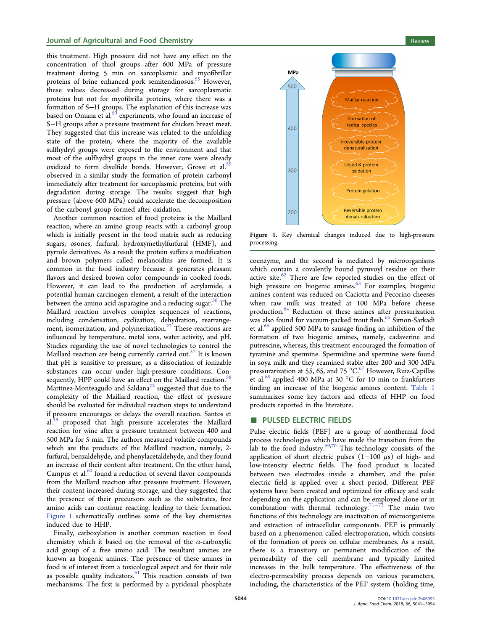#### **Journal of Agricultural and Food Chemistry Review Agricultural and Food Chemistry Review Review Review Review**

this treatment. High pressure did not have any effect on the concentration of thiol groups after 600 MPa of pressure treatment during 5 min on sarcoplasmic and myofibrillar proteins of brine enhanced pork semitendinosus.<sup>[55](#page-13-0)</sup> However, these values decreased during storage for sarcoplasmatic proteins but not for myofibrilla proteins, where there was a formation of S−H groups. The explanation of this increase was based on Omana et al.<sup>[50](#page-13-0)</sup> experiments, who found an increase of S−H groups after a pressure treatment for chicken breast meat. They suggested that this increase was related to the unfolding state of the protein, where the majority of the available sulfhydryl groups were exposed to the environment and that most of the sulfhydryl groups in the inner core were already oxidized to form disulfide bonds. However, Grossi et al.<sup>[55](#page-13-0)</sup> observed in a similar study the formation of protein carbonyl immediately after treatment for sarcoplasmic proteins, but with degradation during storage. The results suggest that high pressure (above 600 MPa) could accelerate the decomposition of the carbonyl group formed after oxidation.

Another common reaction of food proteins is the Maillard reaction, where an amino group reacts with a carbonyl group which is initially present in the food matrix such as reducing sugars, osones, furfural, hydroxymethylfurfural (HMF), and pyrrole derivatives. As a result the protein suffers a modification and brown polymers called melanoidins are formed. It is common in the food industry because it generates pleasant flavors and desired brown color compounds in cooked foods. However, it can lead to the production of acrylamide, a potential human carcinogen element, a result of the interaction between the amino acid asparagine and a reducing sugar.<sup>[56](#page-13-0)</sup> The Maillard reaction involves complex sequences of reactions, including condensation, cyclization, dehydration, rearrangement, isomerization, and polymerization. $22$  These reactions are influenced by temperature, metal ions, water activity, and pH. Studies regarding the use of novel technologies to control the Maillard reaction are being currently carried out.<sup>[57](#page-13-0)</sup> It is known that pH is sensitive to pressure, as a dissociation of ionizable substances can occur under high-pressure conditions. Con-sequently, HPP could have an effect on the Maillard reaction.<sup>[58](#page-13-0)</sup> Martinez-Monteagudo and Saldana $^{22}$  $^{22}$  $^{22}$  suggested that due to the complexity of the Maillard reaction, the effect of pressure should be evaluated for individual reaction steps to understand if pressure encourages or delays the overall reaction. Santos et al.<sup>[59](#page-13-0)</sup> proposed that high pressure accelerates the Maillard reaction for wine after a pressure treatment between 400 and 500 MPa for 5 min. The authors measured volatile compounds which are the products of the Maillard reaction, namely, 2 furfural, benzaldehyde, and phenylacetaldehyde, and they found an increase of their content after treatment. On the other hand, Campus et al.<sup>[60](#page-13-0)</sup> found a reduction of several flavor compounds from the Maillard reaction after pressure treatment. However, their content increased during storage, and they suggested that the presence of their precursors such as the substrates, free amino acids can continue reacting, leading to their formation. Figure 1 schematically outlines some of the key chemistries induced due to HHP.

Finally, carboxylation is another common reaction in food chemistry which it based on the removal of the  $\alpha$ -carboxylic acid group of a free amino acid. The resultant amines are known as biogenic amines. The presence of these amines in food is of interest from a toxicological aspect and for their role as possible quality indicators. $61$  This reaction consists of two mechanisms. The first is performed by a pyridoxal phosphate



Figure 1. Key chemical changes induced due to high-pressure processing.

coenzyme, and the second is mediated by microorganisms which contain a covalently bound pyruvoyl residue on their active site.<sup>[62](#page-13-0)</sup> There are few reported studies on the effect of high pressure on biogenic amines.<sup>[63](#page-13-0)</sup> For examples, biogenic amines content was reduced on Caciotta and Pecorino cheeses when raw milk was treated at 100 MPa before cheese production.[64](#page-13-0) Reduction of these amines after pressurization was also found for vacuum-packed trout flesh.<sup>[65](#page-13-0)</sup> Simon-Sarkadi et al.<sup>[66](#page-13-0)</sup> applied 500 MPa to sausage finding an inhibition of the formation of two biogenic amines, namely, cadaverine and putrescine, whereas, this treatment encouraged the formation of tyramine and spermine. Spermidine and spermine were found in soya milk and they reamined stable after 200 and 300 MPa pressurarization at 55, 65, and 75 °C.<sup>[67](#page-13-0)</sup> However, Ruiz-Capillas et al.<sup>[68](#page-13-0)</sup> applied 400 MPa at 30 °C for 10 min to frankfurters finding an increase of the biogenic amines content. [Table 1](#page-6-0) summarizes some key factors and effects of HHP on food products reported in the literature.

#### PULSED ELECTRIC FIELDS

Pulse electric fields (PEF) are a group of nonthermal food process technologies which have made the transition from the lab to the food industry.<sup>69,[70](#page-13-0)</sup> This technology consists of the application of short electric pulses  $(1-100 \mu s)$  of high- and low-intensity electric fields. The food product is located between two electrodes inside a chamber, and the pulse electric field is applied over a short period. Different PEF systems have been created and optimized for efficacy and scale depending on the application and can be employed alone or in combination with thermal technology.<sup>[71](#page-13-0)-[73](#page-13-0)</sup> The main two functions of this technology are inactivation of microorganisms and extraction of intracellular components. PEF is primarily based on a phenomenon called electroporation, which consists of the formation of pores on cellular membranes. As a result, there is a transitory or permanent modification of the permeability of the cell membrane and typically limited increases in the bulk temperature. The effectiveness of the electro-permeability process depends on various parameters, including, the characteristics of the PEF system (holding time,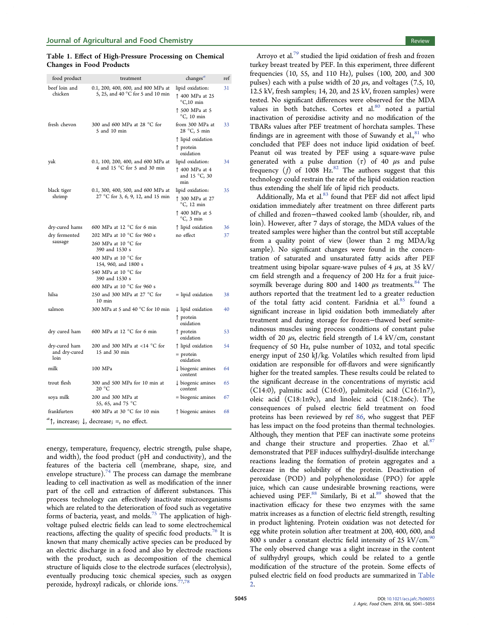#### <span id="page-6-0"></span>Table 1. Effect of High-Pressure Processing on Chemical Changes in Food Products

| food product             | treatment                                                               | changes $^a$                                               | ref |  |
|--------------------------|-------------------------------------------------------------------------|------------------------------------------------------------|-----|--|
| beef loin and<br>chicken | 0.1, 200, 400, 600, and 800 MPa at<br>5, 25, and 40 °C for 5 and 10 min | lipid oxidation:<br>↑ 400 MPa at 25<br>$^{\circ}$ C,10 min | 31  |  |
|                          |                                                                         | ↑ 500 MPa at 5<br>$^{\circ}$ C, 10 min                     |     |  |
| fresh chevon             | 300 and 600 MPa at 28 °C for<br>5 and 10 min                            | from 300 MPa at<br>28 °C, 5 min                            | 33  |  |
|                          |                                                                         | ↑ lipid oxidation                                          |     |  |
|                          |                                                                         | ↑ protein<br>oxidation                                     |     |  |
| yak                      | 0.1, 100, 200, 400, and 600 MPa at                                      | lipid oxidation:                                           | 34  |  |
|                          | 4 and 15 °C for 5 and 30 min                                            | ↑ 400 MPa at 4<br>and 15 °C, 30<br>min                     |     |  |
| black tiger              | 0.1, 300, 400, 500, and 600 MPa at                                      | lipid oxidation:                                           | 35  |  |
| shrimp                   | 27 °C for 3, 6, 9, 12, and 15 min                                       | ↑ 300 MPa at 27<br>$^{\circ}$ C, 12 min                    |     |  |
|                          |                                                                         | ↑ 400 MPa at 5<br>$\mathrm{^{\circ}C}$ , 3 min             |     |  |
| dry-cured hams           | 600 MPa at 12 °C for 6 min                                              | ↑ lipid oxidation                                          | 36  |  |
| dry fermented            | 202 MPa at 10 °C for 960 s                                              | no effect                                                  | 37  |  |
| sausage                  | 260 MPa at 10 $^{\circ}$ C for<br>390 and 1530 s                        |                                                            |     |  |
|                          | 400 MPa at 10 °C for<br>154, 960, and 1800 s                            |                                                            |     |  |
|                          | 540 MPa at 10 °C for<br>390 and 1530 s                                  |                                                            |     |  |
|                          | 600 MPa at 10 °C for 960 s                                              |                                                            |     |  |
| hilsa                    | 250 and 300 MPa at 27 °C for<br>$10$ min                                | = lipid oxidation                                          | 38  |  |
| salmon                   | 300 MPa at 5 and 40 °C for 10 min                                       | $\downarrow$ lipid oxidation                               | 40  |  |
|                          |                                                                         | ↑ protein<br>oxidation                                     |     |  |
| dry cured ham            | 600 MPa at 12 $\degree$ C for 6 min                                     | $\uparrow$ protein<br>oxidation                            | 53  |  |
| dry-cured ham            | 200 and 300 MPa at <14 °C for<br>15 and 30 min                          | ↑ lipid oxidation                                          | 54  |  |
| and dry-cured<br>loin    |                                                                         | $=$ protein<br>oxidation                                   |     |  |
| milk                     | 100 MPa                                                                 | $\downarrow$ biogenic amines<br>content                    | 64  |  |
| trout flesh              | 300 and 500 MPa for 10 min at<br>20 °C                                  | $\downarrow$ biogenic amines<br>content                    | 65  |  |
| soya milk                | 200 and 300 MPa at<br>55, 65, and 75 °C                                 | = biogenic amines                                          | 67  |  |
| frankfurters             | 400 MPa at 30 °C for 10 min                                             | ↑ biogenic amines                                          | 68  |  |
|                          | $a_{\uparrow}$ , increase; $\downarrow$ , decrease; =, no effect.       |                                                            |     |  |

energy, temperature, frequency, electric strength, pulse shape, and width), the food product (pH and conductivity), and the features of the bacteria cell (membrane, shape, size, and envelope structure).<sup>[74](#page-13-0)</sup> The process can damage the membrane leading to cell inactivation as well as modification of the inner part of the cell and extraction of different substances. This process technology can effectively inactivate microorganisms which are related to the deterioration of food such as vegetative forms of bacteria, yeast, and molds.<sup>[75](#page-13-0)</sup> The application of highvoltage pulsed electric fields can lead to some electrochemical reactions, affecting the quality of specific food products.<sup>[76](#page-13-0)</sup> It is known that many chemically active species can be produced by an electric discharge in a food and also by electrode reactions with the product, such as decomposition of the chemical structure of liquids close to the electrode surfaces (electrolysis), eventually producing toxic chemical species, such as oxygen peroxide, hydroxyl radicals, or chloride ions.<sup>[77,78](#page-13-0)</sup>

Arroyo et al.<sup>[79](#page-13-0)</sup> studied the lipid oxidation of fresh and frozen turkey breast treated by PEF. In this experiment, three different frequencies (10, 55, and 110 Hz), pulses (100, 200, and 300 pulses) each with a pulse width of 20  $\mu$ s, and voltages (7.5, 10, 12.5 kV, fresh samples; 14, 20, and 25 kV, frozen samples) were tested. No significant differences were observed for the MDA values in both batches. Cortes et al.<sup>[80](#page-13-0)</sup> noted a partial inactivation of peroxidise activity and no modification of the TBARs values after PEF treatment of horchata samples. These findings are in agreement with those of Suwandy et al. $^{81}$  $^{81}$  $^{81}$  who concluded that PEF does not induce lipid oxidation of beef. Peanut oil was treated by PEF using a square-wave pulse generated with a pulse duration  $(\tau)$  of 40  $\mu$ s and pulse frequency (*f*) of 1008 Hz.<sup>[82](#page-13-0)</sup> The authors suggest that this technology could restrain the rate of the lipid oxidation reaction thus extending the shelf life of lipid rich products.

Additionally, Ma et al.<sup>[83](#page-13-0)</sup> found that PEF did not affect lipid oxidation immediately after treatment on three different parts of chilled and frozen−thawed cooked lamb (shoulder, rib, and loin). However, after 7 days of storage, the MDA values of the treated samples were higher than the control but still acceptable from a quality point of view (lower than 2 mg MDA/kg sample). No significant changes were found in the concentration of saturated and unsaturated fatty acids after PEF treatment using bipolar square-wave pulses of 4  $\mu$ s, at 35 kV/ cm field strength and a frequency of 200 Hz for a fruit juicesoymilk beverage during 800 and 1400  $\mu$ s treatments.<sup>[84](#page-13-0)</sup> The authors reported that the treatment led to a greater reduction of the total fatty acid content. Faridnia et al.<sup>[85](#page-14-0)</sup> found a significant increase in lipid oxidation both immediately after treatment and during storage for frozen−thawed beef semitendinosus muscles using process conditions of constant pulse width of 20  $\mu$ s, electric field strength of 1.4 kV/cm, constant frequency of 50 Hz, pulse number of 1032, and total specific energy input of 250 kJ/kg. Volatiles which resulted from lipid oxidation are responsible for off-flavors and were significantly higher for the treated samples. These results could be related to the significant decrease in the concentrations of myristic acid (C14:0), palmitic acid (C16:0), palmitoleic acid (C16:1n7), oleic acid (C18:1n9c), and linoleic acid (C18:2n6c). The consequences of pulsed electric field treatment on food proteins has been reviewed by ref [86,](#page-14-0) who suggest that PEF has less impact on the food proteins than thermal technologies. Although, they mention that PEF can inactivate some proteins and change their structure and properties. Zhao et al. $87$ demonstrated that PEF induces sulfhydryl-disulfide interchange reactions leading the formation of protein aggregates and a decrease in the solubility of the protein. Deactivation of peroxidase (POD) and polyphenoloxidase (PPO) for apple juice, which can cause undesirable browning reactions, were achieved using PEF.<sup>[88](#page-14-0)</sup> Similarly, Bi et al.<sup>[89](#page-14-0)</sup> showed that the inactivation efficacy for these two enzymes with the same matrix increases as a function of electric field strength, resulting in product lightening. Protein oxidation was not detected for egg white protein solution after treatment at 200, 400, 600, and 800 s under a constant electric field intensity of 25 kV/cm. $90$ The only observed change was a slight increase in the content of sulfhydryl groups, which could be related to a gentle modification of the structure of the protein. Some effects of pulsed electric field on food products are summarized in [Table](#page-7-0) [2](#page-7-0).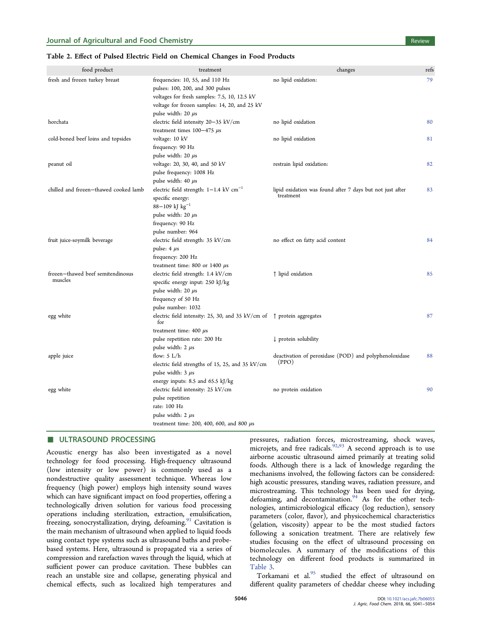#### <span id="page-7-0"></span>Table 2. Effect of Pulsed Electric Field on Chemical Changes in Food Products

| food product                                 | treatment                                                                                                                                                                                       | changes                                                                | refs |
|----------------------------------------------|-------------------------------------------------------------------------------------------------------------------------------------------------------------------------------------------------|------------------------------------------------------------------------|------|
| fresh and frozen turkey breast               | frequencies: 10, 55, and 110 Hz<br>pulses: 100, 200, and 300 pulses<br>voltages for fresh samples: 7.5, 10, 12.5 kV<br>voltage for frozen samples: 14, 20, and 25 kV<br>pulse width: $20 \mu s$ | no lipid oxidation:                                                    | 79   |
| horchata                                     | electric field intensity 20-35 kV/cm<br>treatment times $100-475 \mu s$                                                                                                                         | no lipid oxidation                                                     | 80   |
| cold-boned beef loins and topsides           | voltage: 10 kV<br>frequency: 90 Hz<br>pulse width: $20 \mu s$                                                                                                                                   | no lipid oxidation                                                     | 81   |
| peanut oil                                   | voltage: 20, 30, 40, and 50 kV<br>pulse frequency: 1008 Hz<br>pulse width: 40 µs                                                                                                                | restrain lipid oxidation:                                              | 82   |
| chilled and frozen-thawed cooked lamb        | electric field strength: $1-1.4$ kV cm <sup>-1</sup><br>specific energy:<br>88-109 kJ $kg^{-1}$<br>pulse width: 20 µs<br>frequency: 90 Hz<br>pulse number: 964                                  | lipid oxidation was found after 7 days but not just after<br>treatment | 83   |
| fruit juice-soymilk beverage                 | electric field strength: 35 kV/cm<br>pulse: $4 \mu s$<br>frequency: 200 Hz<br>treatment time: 800 or 1400 $\mu$ s                                                                               | no effect on fatty acid content                                        | 84   |
| frozen-thawed beef semitendinosus<br>muscles | electric field strength: 1.4 kV/cm<br>specific energy input: 250 kJ/kg<br>pulse width: $20 \mu s$<br>frequency of 50 Hz<br>pulse number: 1032                                                   | ↑ lipid oxidation                                                      | 85   |
| egg white                                    | electric field intensity: 25, 30, and 35 kV/cm of $\uparrow$ protein aggregates<br>for<br>treatment time: $400 \mu s$<br>pulse repetition rate: 200 Hz                                          | $\downarrow$ protein solubility                                        | 87   |
| apple juice                                  | pulse width: $2 \mu s$<br>flow: $5 L/h$<br>electric field strengths of 15, 25, and 35 kV/cm<br>pulse width: $3 \mu s$<br>energy inputs: 8.5 and 65.5 kJ/kg                                      | deactivation of peroxidase (POD) and polyphenoloxidase<br>(PPO)        | 88   |
| egg white                                    | electric field intensity: 25 kV/cm<br>pulse repetition<br>rate: 100 Hz<br>pulse width: $2 \mu s$<br>treatment time: 200, 400, 600, and 800 $\mu$ s                                              | no protein oxidation                                                   | 90   |

#### **ULTRASOUND PROCESSING**

Acoustic energy has also been investigated as a novel technology for food processing. High-frequency ultrasound (low intensity or low power) is commonly used as a nondestructive quality assessment technique. Whereas low frequency (high power) employs high intensity sound waves which can have significant impact on food properties, offering a technologically driven solution for various food processing operations including sterilization, extraction, emulsification, freezing, sonocrystallization, drying, defoaming.<sup>[91](#page-14-0)</sup> Cavitation is the main mechanism of ultrasound when applied to liquid foods using contact type systems such as ultrasound baths and probebased systems. Here, ultrasound is propagated via a series of compression and rarefaction waves through the liquid, which at sufficient power can produce cavitation. These bubbles can reach an unstable size and collapse, generating physical and chemical effects, such as localized high temperatures and

pressures, radiation forces, microstreaming, shock waves, microjets, and free radicals. $92,93$  $92,93$  $92,93$  A second approach is to use airborne acoustic ultrasound aimed primarily at treating solid foods. Although there is a lack of knowledge regarding the mechanisms involved, the following factors can be considered: high acoustic pressures, standing waves, radiation pressure, and microstreaming. This technology has been used for drying, defoaming, and decontamination.[94](#page-14-0) As for the other technologies, antimicrobiological efficacy (log reduction), sensory parameters (color, flavor), and physicochemical characteristics (gelation, viscosity) appear to be the most studied factors following a sonication treatment. There are relatively few studies focusing on the effect of ultrasound processing on biomolecules. A summary of the modifications of this technology on different food products is summarized in [Table 3](#page-8-0).

Torkamani et al.<sup>[95](#page-14-0)</sup> studied the effect of ultrasound on different quality parameters of cheddar cheese whey including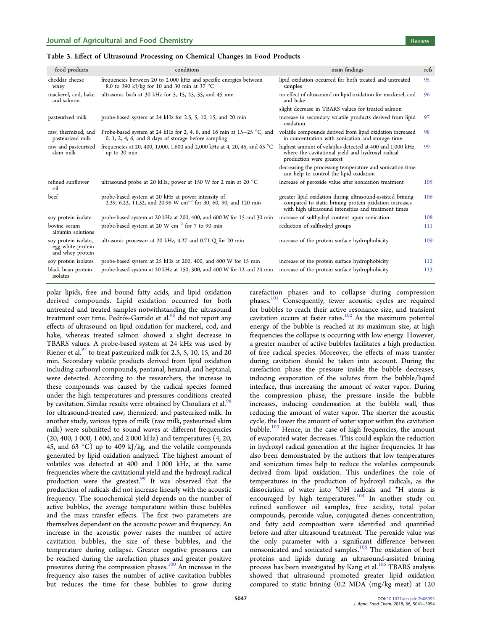### <span id="page-8-0"></span>Table 3. Effect of Ultrasound Processing on Chemical Changes in Food Products

| food products                                                 | conditions                                                                                                                        | main findings                                                                                                                                                                | refs |
|---------------------------------------------------------------|-----------------------------------------------------------------------------------------------------------------------------------|------------------------------------------------------------------------------------------------------------------------------------------------------------------------------|------|
| cheddar cheese<br>whey                                        | frequencies between 20 to 2 000 kHz and specific energies between<br>8.0 to 390 kJ/kg for 10 and 30 min at $37^{\circ}$ °C        | lipid oxidation occurred for both treated and untreated<br>samples                                                                                                           | 95   |
| mackerel, cod, hake<br>and salmon                             | ultrasonic bath at 30 kHz for 5, 15, 25, 35, and 45 min                                                                           | no effect of ultrasound on lipid oxidation for mackerel, cod<br>and hake                                                                                                     | 96   |
|                                                               |                                                                                                                                   | slight decrease in TBARS values for treated salmon                                                                                                                           |      |
| pasteurized milk                                              | probe-based system at 24 kHz for 2.5, 5, 10, 15, and 20 min                                                                       | increase in secondary volatile products derived from lipid<br>oxidation                                                                                                      | 97   |
| raw, thermized, and<br>pasteurized milk                       | Probe-based system at 24 kHz for 2, 4, 8, and 16 min at $15-25$ °C, and<br>$0, 1, 2, 4, 6,$ and 8 days of storage before sampling | volatile compounds derived from lipid oxidation increased<br>in concentration with sonication and storage time                                                               | 98   |
| raw and pasteurized<br>skim milk                              | frequencies at 20, 400, 1,000, 1,600 and 2,000 kHz at 4, 20, 45, and 63 °C<br>up to 20 min                                        | highest amount of volatiles detected at 400 and 1,000 kHz,<br>where the cavitational yield and hydroxyl radical<br>production were greatest                                  | 99   |
|                                                               |                                                                                                                                   | decreasing the processing temperature and sonication time<br>can help to control the lipid oxidation                                                                         |      |
| refined sunflower<br>oil                                      | ultrasound probe at 20 kHz; power at 150 W for 2 min at 20 $^{\circ}$ C                                                           | increase of peroxide value after sonication treatment                                                                                                                        | 105  |
| beef                                                          | probe-based system at 20 kHz at power intensity of<br>2.39, 6.23, 11.32, and 20.96 W cm <sup>-2</sup> for 30, 60, 90, and 120 min | greater lipid oxidation during ultrasound-assisted brining<br>compared to static brining protein oxidation increases<br>with high ultrasound intensities and treatment times | 106  |
| soy protein isolate                                           | probe-based system at 20 kHz at 200, 400, and 600 W for 15 and 30 min                                                             | increase of sulfhydryl content upon sonication                                                                                                                               | 108  |
| bovine serum<br>albumin solutions                             | probe-based system at 20 W $\text{cm}^{-2}$ for 7 to 90 min                                                                       | reduction of sulfhydryl groups                                                                                                                                               | 111  |
| soy protein isolate,<br>egg white protein<br>and whey protein | ultrasonic processor at 20 kHz, 4.27 and 0.71 Q for 20 min                                                                        | increase of the protein surface hydrophobicity                                                                                                                               | 109  |
| soy protein isolates                                          | probe-based system at 25 kHz at 200, 400, and 600 W for 15 min                                                                    | increase of the protein surface hydrophobicity                                                                                                                               | 112  |
| black bean protein<br>isolates                                | probe-based system at 20 kHz at 150, 300, and 400 W for 12 and 24 min                                                             | increase of the protein surface hydrophobicity                                                                                                                               | 113  |

polar lipids, free and bound fatty acids, and lipid oxidation derived compounds. Lipid oxidation occurred for both untreated and treated samples notwithstanding the ultrasound treatment over time. Pedrós-Garrido et al.<sup>[96](#page-14-0)</sup> did not report any effects of ultrasound on lipid oxidation for mackerel, cod, and hake, whereas treated salmon showed a slight decrease in TBARS values. A probe-based system at 24 kHz was used by Riener et al.<sup>[97](#page-14-0)</sup> to treat pasteurized milk for 2.5, 5, 10, 15, and 20 min. Secondary volatile products derived from lipid oxidation including carbonyl compounds, pentanal, hexanal, and heptanal, were detected. According to the researchers, the increase in these compounds was caused by the radical species formed under the high temperatures and pressures conditions created by cavitation. Similar results were obtained by Chouliara et al.<sup>[98](#page-14-0)</sup> for ultrasound-treated raw, thermized, and pasteurized milk. In another study, various types of milk (raw milk, pasteurized skim milk) were submitted to sound waves at different frequencies (20, 400, 1 000, 1 600, and 2 000 kHz) and temperatures (4, 20, 45, and 63  $^{\circ}$ C) up to 409 kJ/kg, and the volatile compounds generated by lipid oxidation analyzed. The highest amount of volatiles was detected at 400 and 1 000 kHz, at the same frequencies where the cavitational yield and the hydroxyl radical production were the greatest.<sup>[99](#page-14-0)</sup> It was observed that the production of radicals did not increase linearly with the acoustic frequency. The sonochemical yield depends on the number of active bubbles, the average temperature within these bubbles and the mass transfer effects. The first two parameters are themselves dependent on the acoustic power and frequency. An increase in the acoustic power raises the number of active cavitation bubbles, the size of these bubbles, and the temperature during collapse. Greater negative pressures can be reached during the rarefaction phases and greater positive pressures during the compression phases.[100](#page-14-0) An increase in the frequency also raises the number of active cavitation bubbles but reduces the time for these bubbles to grow during

rarefaction phases and to collapse during compression phases.[101](#page-14-0) Consequently, fewer acoustic cycles are required for bubbles to reach their active resonance size, and transient cavitation occurs at faster rates.[102](#page-14-0) As the maximum potential energy of the bubble is reached at its maximum size, at high frequencies the collapse is occurring with low energy. However, a greater number of active bubbles facilitates a high production of free radical species. Moreover, the effects of mass transfer during cavitation should be taken into account. During the rarefaction phase the pressure inside the bubble decreases, inducing evaporation of the solutes from the bubble/liquid interface, thus increasing the amount of water vapor. During the compression phase, the pressure inside the bubble increases, inducing condensation at the bubble wall, thus reducing the amount of water vapor. The shorter the acoustic cycle, the lower the amount of water vapor within the cavitation bubble. $103$  Hence, in the case of high frequencies, the amount of evaporated water decreases. This could explain the reduction in hydroxyl radical generation at the higher frequencies. It has also been demonstrated by the authors that low temperatures and sonication times help to reduce the volatiles compounds derived from lipid oxidation. This underlines the role of temperatures in the production of hydroxyl radicals, as the dissociation of water into • OH radicals and • H atoms is encouraged by high temperatures.<sup>[104](#page-14-0)</sup> In another study on refined sunflower oil samples, free acidity, total polar compounds, peroxide value, conjugated dienes concentration, and fatty acid composition were identified and quantified before and after ultrasound treatment. The peroxide value was the only parameter with a significant difference between nonsonicated and sonicated samples.<sup>[105](#page-14-0)</sup> The oxidation of beef proteins and lipids during an ultrasound-assisted brining process has been investigated by Kang et al.<sup>[106](#page-14-0)</sup> TBARS analysis showed that ultrasound promoted greater lipid oxidation compared to static brining (0.2 MDA (mg/kg meat) at 120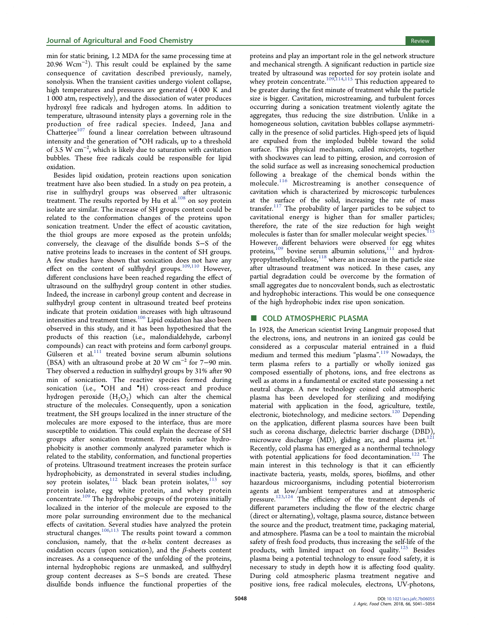min for static brining, 1.2 MDA for the same processing time at 20.96 Wcm<sup>−</sup><sup>2</sup> ). This result could be explained by the same consequence of cavitation described previously, namely, sonolysis. When the transient cavities undergo violent collapse, high temperatures and pressures are generated (4 000 K and 1 000 atm, respectively), and the dissociation of water produces hydroxyl free radicals and hydrogen atoms. In addition to temperature, ultrasound intensity plays a governing role in the production of free radical species. Indeed, Jana and  $Chatterjee<sup>107</sup>$  $Chatterjee<sup>107</sup>$  $Chatterjee<sup>107</sup>$  found a linear correlation between ultrasound intensity and the generation of • OH radicals, up to a threshold of 3.5 W cm<sup>−</sup><sup>2</sup> , which is likely due to saturation with cavitation bubbles. These free radicals could be responsible for lipid oxidation.

Besides lipid oxidation, protein reactions upon sonication treatment have also been studied. In a study on pea protein, a rise in sulfhydryl groups was observed after ultrasonic treatment. The results reported by Hu et al.<sup>[108](#page-14-0)</sup> on soy protein isolate are similar. The increase of SH groups content could be related to the conformation changes of the proteins upon sonication treatment. Under the effect of acoustic cavitation, the thiol groups are more exposed as the protein unfolds; conversely, the cleavage of the disulfide bonds S−S of the native proteins leads to increases in the content of SH groups. A few studies have shown that sonication does not have any effect on the content of sulfhydryl groups.<sup>[109,110](#page-14-0)</sup> However, different conclusions have been reached regarding the effect of ultrasound on the sulfhydryl group content in other studies. Indeed, the increase in carbonyl group content and decrease in sulfhydryl group content in ultrasound treated beef proteins indicate that protein oxidation increases with high ultrasound intensities and treatment times.[106](#page-14-0) Lipid oxidation has also been observed in this study, and it has been hypothesized that the products of this reaction (i.e., malondialdehyde, carbonyl compounds) can react with proteins and form carbonyl groups. Gülseren et al.<sup>[111](#page-14-0)</sup> treated bovine serum albumin solutions (BSA) with an ultrasound probe at 20 W cm<sup>−</sup><sup>2</sup> for 7−90 min. They observed a reduction in sulfhydryl groups by 31% after 90 min of sonication. The reactive species formed during sonication (i.e., 'OH and 'H) cross-react and produce hydrogen peroxide  $(H_2O_2)$  which can alter the chemical structure of the molecules. Consequently, upon a sonication treatment, the SH groups localized in the inner structure of the molecules are more exposed to the interface, thus are more susceptible to oxidation. This could explain the decrease of SH groups after sonication treatment. Protein surface hydrophobicity is another commonly analyzed parameter which is related to the stability, conformation, and functional properties of proteins. Ultrasound treatment increases the protein surface hydrophobicity, as demonstrated in several studies including, soy protein isolates, $112$  black bean protein isolates, $113$  soy protein isolate, egg white protein, and whey protein concentrate.[109](#page-14-0) The hydrophobic groups of the proteins initially localized in the interior of the molecule are exposed to the more polar surrounding environment due to the mechanical effects of cavitation. Several studies have analyzed the protein structural changes.<sup>[106](#page-14-0),[113](#page-14-0)</sup> The results point toward a common conclusion, namely, that the  $\alpha$ -helix content decreases as oxidation occurs (upon sonication), and the  $\beta$ -sheets content increases. As a consequence of the unfolding of the proteins, internal hydrophobic regions are unmasked, and sulfhydryl group content decreases as S−S bonds are created. These disulfide bonds influence the functional properties of the proteins and play an important role in the gel network structure and mechanical strength. A significant reduction in particle size treated by ultrasound was reported for soy protein isolate and whey protein concentrate.<sup>[109,114,115](#page-14-0)</sup> This reduction appeared to be greater during the first minute of treatment while the particle size is bigger. Cavitation, microstreaming, and turbulent forces occurring during a sonication treatment violently agitate the aggregates, thus reducing the size distribution. Unlike in a homogeneous solution, cavitation bubbles collapse asymmetrically in the presence of solid particles. High-speed jets of liquid are expulsed from the imploded bubble toward the solid surface. This physical mechanism, called microjets, together with shockwaves can lead to pitting, erosion, and corrosion of the solid surface as well as increasing sonochemical production following a breakage of the chemical bonds within the molecule.<sup>[116](#page-14-0)</sup> Microstreaming is another consequence of cavitation which is characterized by microscopic turbulences at the surface of the solid, increasing the rate of mass transfer. $117$  The probability of larger particles to be subject to cavitational energy is higher than for smaller particles; therefore, the rate of the size reduction for high weight molecules is faster than for smaller molecular weight species.<sup>1</sup> However, different behaviors were observed for egg whites proteins,<sup>[109](#page-14-0)</sup> bovine serum albumin solutions, $111$  and hydroxypropylmethylcellulose, $118$  where an increase in the particle size after ultrasound treatment was noticed. In these cases, any partial degradation could be overcome by the formation of small aggregates due to noncovalent bonds, such as electrostatic and hydrophobic interactions. This would be one consequence of the high hydrophobic index rise upon sonication.

#### ■ COLD ATMOSPHERIC PLASMA

In 1928, the American scientist Irving Langmuir proposed that the electrons, ions, and neutrons in an ionized gas could be considered as a corpuscular material entrained in a fluid medium and termed this medium "plasma".<sup>[119](#page-14-0)</sup> Nowadays, the term plasma refers to a partially or wholly ionized gas composed essentially of photons, ions, and free electrons as well as atoms in a fundamental or excited state possessing a net neutral charge. A new technology coined cold atmospheric plasma has been developed for sterilizing and modifying material with application in the food, agriculture, textile, electronic, biotechnology, and medicine sectors.<sup>[120](#page-14-0)</sup> Depending on the application, different plasma sources have been built such as corona discharge, dielectric barrier discharge (DBD), microwave discharge  $(MD)$ , gliding arc, and plasma jet.<sup>[121](#page-14-0)</sup> Recently, cold plasma has emerged as a nonthermal technology with potential applications for food decontamination.<sup>[122](#page-14-0)</sup> The main interest in this technology is that it can efficiently inactivate bacteria, yeasts, molds, spores, biofilms, and other hazardous microorganisms, including potential bioterrorism agents at low/ambient temperatures and at atmospheric pressure.<sup>[123](#page-14-0),[124](#page-15-0)</sup> The efficiency of the treatment depends of different parameters including the flow of the electric charge (direct or alternating), voltage, plasma source, distance between the source and the product, treatment time, packaging material, and atmosphere. Plasma can be a tool to maintain the microbial safety of fresh food products, thus increasing the self-life of the products, with limited impact on food quality.[125](#page-15-0) Besides plasma being a potential technology to ensure food safety, it is necessary to study in depth how it is affecting food quality. During cold atmospheric plasma treatment negative and positive ions, free radical molecules, electrons, UV-photons,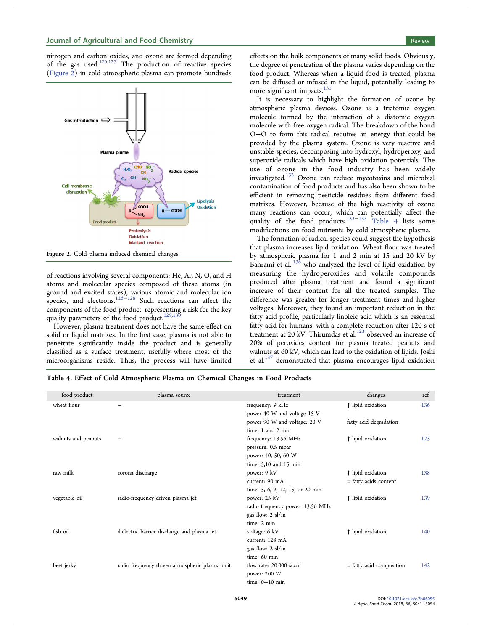nitrogen and carbon oxides, and ozone are formed depending of the gas used.<sup>[126](#page-15-0),[127](#page-15-0)</sup> The production of reactive species (Figure 2) in cold atmospheric plasma can promote hundreds



Figure 2. Cold plasma induced chemical changes.

of reactions involving several components: He, Ar, N, O, and H atoms and molecular species composed of these atoms (in ground and excited states), various atomic and molecular ion species, and electrons.[126](#page-15-0)−[128](#page-15-0) Such reactions can affect the components of the food product, representing a risk for the key quality parameters of the food product.<sup>129,1</sup>

However, plasma treatment does not have the same effect on solid or liquid matrixes. In the first case, plasma is not able to penetrate significantly inside the product and is generally classified as a surface treatment, usefully where most of the microorganisms reside. Thus, the process will have limited

effects on the bulk components of many solid foods. Obviously, the degree of penetration of the plasma varies depending on the food product. Whereas when a liquid food is treated, plasma can be diffused or infused in the liquid, potentially leading to more significant impacts.<sup>[131](#page-15-0)</sup>

It is necessary to highlight the formation of ozone by atmospheric plasma devices. Ozone is a triatomic oxygen molecule formed by the interaction of a diatomic oxygen molecule with free oxygen radical. The breakdown of the bond O−O to form this radical requires an energy that could be provided by the plasma system. Ozone is very reactive and unstable species, decomposing into hydroxyl, hydroperoxy, and superoxide radicals which have high oxidation potentials. The use of ozone in the food industry has been widely investigated.[132](#page-15-0) Ozone can reduce mycotoxins and microbial contamination of food products and has also been shown to be efficient in removing pesticide residues from different food matrixes. However, because of the high reactivity of ozone many reactions can occur, which can potentially affect the quality of the food products.<sup>[133](#page-15-0)–[135](#page-15-0)</sup> Table 4 lists some modifications on food nutrients by cold atmospheric plasma.

The formation of radical species could suggest the hypothesis that plasma increases lipid oxidation. Wheat flour was treated by atmospheric plasma for 1 and 2 min at 15 and 20 kV by Bahrami et al.,<sup>[136](#page-15-0)</sup> who analyzed the level of lipid oxidation by measuring the hydroperoxides and volatile compounds produced after plasma treatment and found a significant increase of their content for all the treated samples. The difference was greater for longer treatment times and higher voltages. Moreover, they found an important reduction in the fatty acid profile, particularly linoleic acid which is an essential fatty acid for humans, with a complete reduction after 120 s of treatment at 20 kV. Thirumdas et al.<sup>[123](#page-14-0)</sup> observed an increase of 20% of peroxides content for plasma treated peanuts and walnuts at 60 kV, which can lead to the oxidation of lipids. Joshi et al.<sup>[137](#page-15-0)</sup> demonstrated that plasma encourages lipid oxidation

Table 4. Effect of Cold Atmospheric Plasma on Chemical Changes in Food Products

| food product        | plasma source                                  | treatment                        | changes                  | ref |
|---------------------|------------------------------------------------|----------------------------------|--------------------------|-----|
| wheat flour         |                                                | frequency: 9 kHz                 | ↑ lipid oxidation        | 136 |
|                     |                                                | power 40 W and voltage 15 V      |                          |     |
|                     |                                                | power 90 W and voltage: 20 V     | fatty acid degradation   |     |
|                     |                                                | time: 1 and 2 min                |                          |     |
| walnuts and peanuts |                                                | frequency: 13.56 MHz             | ↑ lipid oxidation        | 123 |
|                     |                                                | pressure: 0.5 mbar               |                          |     |
|                     |                                                | power: 40, 50, 60 W              |                          |     |
|                     |                                                | time: 5,10 and 15 min            |                          |     |
| raw milk            | corona discharge                               | power: 9 kV                      | ↑ lipid oxidation        | 138 |
|                     |                                                | current: 90 mA                   | = fatty acids content    |     |
|                     |                                                | time: 3, 6, 9, 12, 15, or 20 min |                          |     |
| vegetable oil       | radio-frequency driven plasma jet              | power: 25 kV                     | ↑ lipid oxidation        | 139 |
|                     |                                                | radio frequency power: 13.56 MHz |                          |     |
|                     |                                                | gas flow: $2 \, \text{sl/m}$     |                          |     |
|                     |                                                | time: 2 min                      |                          |     |
| fish oil            | dielectric barrier discharge and plasma jet    | voltage: 6 kV                    | ↑ lipid oxidation        | 140 |
|                     |                                                | current: 128 mA                  |                          |     |
|                     |                                                | gas flow: 2 sl/m                 |                          |     |
|                     |                                                | time: 60 min                     |                          |     |
| beef jerky          | radio frequency driven atmospheric plasma unit | flow rate: 20 000 sccm           | = fatty acid composition | 142 |
|                     |                                                | power: 200 W                     |                          |     |
|                     |                                                | time: $0-10$ min                 |                          |     |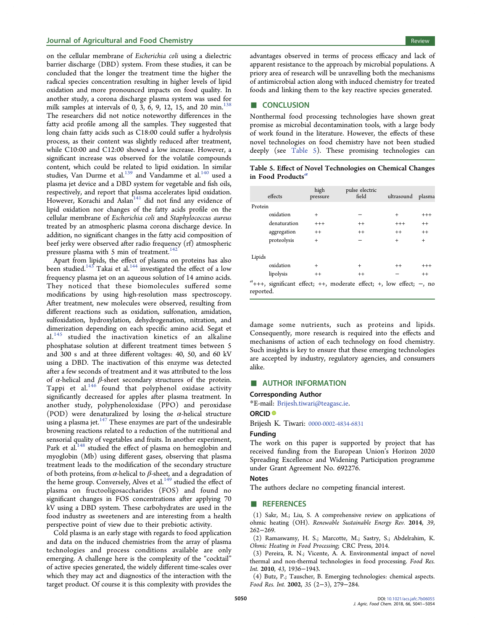#### <span id="page-11-0"></span>**Journal of Agricultural and Food Chemistry Review Agricultural and Food Chemistry Review Review Review Review**

on the cellular membrane of Escherichia coli using a dielectric barrier discharge (DBD) system. From these studies, it can be concluded that the longer the treatment time the higher the radical species concentration resulting in higher levels of lipid oxidation and more pronounced impacts on food quality. In another study, a corona discharge plasma system was used for milk samples at intervals of 0, 3, 6, 9, 12, 15, and 20 min.<sup>[138](#page-15-0)</sup> The researchers did not notice noteworthy differences in the fatty acid profile among all the samples. They suggested that long chain fatty acids such as C18:00 could suffer a hydrolysis process, as their content was slightly reduced after treatment, while C10:00 and C12:00 showed a low increase. However, a significant increase was observed for the volatile compounds content, which could be related to lipid oxidation. In similar studies, Van Durme et al.<sup>[139](#page-15-0)</sup> and Vandamme et al.<sup>[140](#page-15-0)</sup> used a plasma jet device and a DBD system for vegetable and fish oils, respectively, and report that plasma accelerates lipid oxidation. However, Korachi and Aslan<sup>[141](#page-15-0)</sup> did not find any evidence of lipid oxidation nor changes of the fatty acids profile on the cellular membrane of Escherichia coli and Staphylococcus aureus treated by an atmospheric plasma corona discharge device. In addition, no significant changes in the fatty acid composition of beef jerky were observed after radio frequency (rf) atmospheric pressure plasma with 5 min of treatment.<sup>[142](#page-15-0)</sup>

Apart from lipids, the effect of plasma on proteins has also been studied.<sup>[143](#page-15-0)</sup> Takai et al.<sup>[144](#page-15-0)</sup> investigated the effect of a low frequency plasma jet on an aqueous solution of 14 amino acids. They noticed that these biomolecules suffered some modifications by using high-resolution mass spectroscopy. After treatment, new molecules were observed, resulting from different reactions such as oxidation, sulfonation, amidation, sulfoxidation, hydroxylation, dehydrogenation, nitration, and dimerization depending on each specific amino acid. Segat et al.<sup>[145](#page-15-0)</sup> studied the inactivation kinetics of an alkaline phosphatase solution at different treatment times between 5 and 300 s and at three different voltages: 40, 50, and 60 kV using a DBD. The inactivation of this enzyme was detected after a few seconds of treatment and it was attributed to the loss of  $α$ -helical and  $β$ -sheet secondary structures of the protein. Tappi et al.<sup>[146](#page-15-0)</sup> found that polyphenol oxidase activity significantly decreased for apples after plasma treatment. In another study, polyphenoloxidase (PPO) and peroxidase (POD) were denaturalized by losing the  $\alpha$ -helical structure using a plasma jet. $147$  These enzymes are part of the undesirable browning reactions related to a reduction of the nutritional and sensorial quality of vegetables and fruits. In another experiment, Park et al.<sup>[148](#page-15-0)</sup> studied the effect of plasma on hemoglobin and myoglobin (Mb) using different gases, observing that plasma treatment leads to the modification of the secondary structure of both proteins, from  $\alpha$ -helical to  $\beta$ -sheet, and a degradation of the heme group. Conversely, Alves et al.<sup>[149](#page-15-0)</sup> studied the effect of plasma on fructooligosaccharides (FOS) and found no significant changes in FOS concentrations after applying 70 kV using a DBD system. These carbohydrates are used in the food industry as sweeteners and are interesting from a health perspective point of view due to their prebiotic activity.

Cold plasma is an early stage with regards to food application and data on the induced chemistries from the array of plasma technologies and process conditions available are only emerging. A challenge here is the complexity of the "cocktail" of active species generated, the widely different time-scales over which they may act and diagnostics of the interaction with the target product. Of course it is this complexity with provides the

advantages observed in terms of process efficacy and lack of apparent resistance to the approach by microbial populations. A priory area of research will be unravelling both the mechanisms of antimicrobial action along with induced chemistry for treated foods and linking them to the key reactive species generated.

#### ■ CONCLUSION

Nonthermal food processing technologies have shown great promise as microbial decontamination tools, with a large body of work found in the literature. However, the effects of these novel technologies on food chemistry have not been studied deeply (see Table 5). These promising technologies can

Table 5. Effect of Novel Technologies on Chemical Changes in Food Products<sup>a</sup>

|           | effects                                                                   | high<br>pressure | pulse electric<br>field | ultrasound | plasma   |
|-----------|---------------------------------------------------------------------------|------------------|-------------------------|------------|----------|
| Protein   |                                                                           |                  |                         |            |          |
|           | oxidation                                                                 | $^{+}$           |                         | $\ddot{}$  | $^{+++}$ |
|           | denaturation                                                              | $^{+++}$         | $^{++}$                 | $^{+++}$   | $^{++}$  |
|           | aggregation                                                               | $^{++}$          | $^{++}$                 | $^{++}$    | $^{++}$  |
|           | proteolysis                                                               | $+$              |                         | $^{+}$     | $+$      |
| Lipids    |                                                                           |                  |                         |            |          |
|           | oxidation                                                                 | $^{+}$           | $\ddot{}$               | $^{++}$    | $^{+++}$ |
|           | lipolysis                                                                 | $^{++}$          | $^{++}$                 |            | $^{++}$  |
| reported. | $a_{+++}$ , significant effect; ++, moderate effect; +, low effect; -, no |                  |                         |            |          |

damage some nutrients, such as proteins and lipids. Consequently, more research is required into the effects and mechanisms of action of each technology on food chemistry. Such insights is key to ensure that these emerging technologies are accepted by industry, regulatory agencies, and consumers alike.

#### **E** AUTHOR INFORMATION

#### Corresponding Author

\*E-mail: [Brijesh.tiwari@teagasc.ie](mailto:Brijesh.tiwari@teagasc.ie).

#### ORCID<sup>®</sup>

Brijesh K. Tiwari: [0000-0002-4834-6831](http://orcid.org/0000-0002-4834-6831)

#### Funding

The work on this paper is supported by project that has received funding from the European Union's Horizon 2020 Spreading Excellence and Widening Participation programme under Grant Agreement No. 692276.

#### Notes

The authors declare no competing financial interest.

#### ■ REFERENCES

(1) Sakr, M.; Liu, S. A comprehensive review on applications of ohmic heating (OH). Renewable Sustainable Energy Rev. 2014, 39, 262−269.

(2) Ramaswamy, H. S.; Marcotte, M.; Sastry, S.; Abdelrahim, K. Ohmic Heating in Food Processing; CRC Press, 2014.

(3) Pereira, R. N.; Vicente, A. A. Environmental impact of novel thermal and non-thermal technologies in food processing. Food Res. Int. 2010, 43, 1936−1943.

(4) Butz, P.; Tauscher, B. Emerging technologies: chemical aspects. Food Res. Int. 2002, 35 (2−3), 279−284.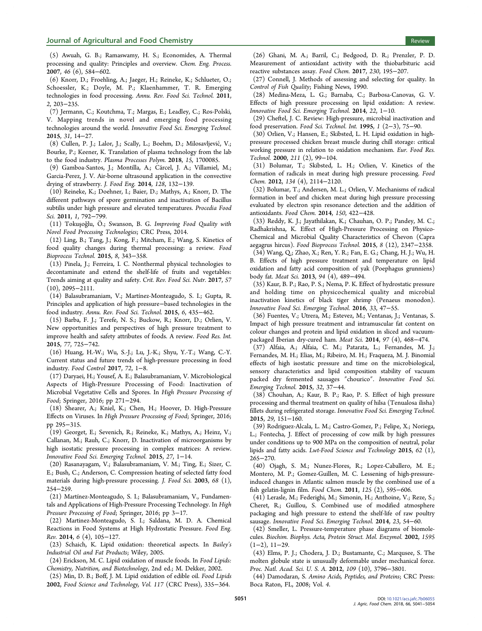<span id="page-12-0"></span>(5) Awuah, G. B.; Ramaswamy, H. S.; Economides, A. Thermal processing and quality: Principles and overview. Chem. Eng. Process. 2007, 46 (6), 584−602.

(6) Knorr, D.; Froehling, A.; Jaeger, H.; Reineke, K.; Schlueter, O.; Schoessler, K.; Doyle, M. P.; Klaenhammer, T. R. Emerging technologies in food processing. Annu. Rev. Food Sci. Technol. 2011, 2, 203−235.

(7) Jermann, C.; Koutchma, T.; Margas, E.; Leadley, C.; Ros-Polski, V. Mapping trends in novel and emerging food processing technologies around the world. Innovative Food Sci. Emerging Technol. 2015, 31, 14−27.

(8) Cullen, P. J.; Lalor, J.; Scally, L.; Boehm, D.; Milosavljevic, V.; ́ Bourke, P.; Keener, K. Translation of plasma technology from the lab to the food industry. Plasma Processes Polym. 2018, 15, 1700085.

(9) Gamboa-Santos, J.; Montilla, A.; Cárcel, J. A.; Villamiel, M.; Garcia-Perez, J. V. Air-borne ultrasound application in the convective drying of strawberry. J. Food Eng. 2014, 128, 132−139.

(10) Reineke, K.; Doehner, I.; Baier, D.; Mathys, A.; Knorr, D. The different pathways of spore germination and inactivation of Bacillus subtilis under high pressure and elevated temperatures. Procedia Food Sci. 2011, 1, 792−799.

(11) Tokuşoğlu, Ö.; Swanson, B. G. Improving Food Quality with Novel Food Processing Technologies; CRC Press, 2014.

(12) Ling, B.; Tang, J.; Kong, F.; Mitcham, E.; Wang, S. Kinetics of food quality changes during thermal processing: a review. Food Bioprocess Technol. 2015, 8, 343−358.

(13) Pinela, J.; Ferreira, I. C. Nonthermal physical technologies to decontaminate and extend the shelf-life of fruits and vegetables: Trends aiming at quality and safety. Crit. Rev. Food Sci. Nutr. 2017, 57 (10), 2095−2111.

(14) Balasubramaniam, V.; Martínez-Monteagudo, S. I.; Gupta, R. Principles and application of high pressure−based technologies in the food industry. Annu. Rev. Food Sci. Technol. 2015, 6, 435−462.

(15) Barba, F. J.; Terefe, N. S.; Buckow, R.; Knorr, D.; Orlien, V. New opportunities and perspectives of high pressure treatment to improve health and safety attributes of foods. A review. Food Res. Int. 2015, 77, 725−742.

(16) Huang, H.-W.; Wu, S.-J.; Lu, J.-K.; Shyu, Y.-T.; Wang, C.-Y. Current status and future trends of high-pressure processing in food industry. Food Control 2017, 72, 1−8.

(17) Daryaei, H.; Yousef, A. E.; Balasubramaniam, V. Microbiological Aspects of High-Pressure Processing of Food: Inactivation of Microbial Vegetative Cells and Spores. In High Pressure Processing of Food; Springer, 2016; pp 271−294.

(18) Shearer, A.; Kniel, K.; Chen, H.; Hoover, D. High-Pressure Effects on Viruses. In High Pressure Processing of Food; Springer, 2016; pp 295−315.

(19) Georget, E.; Sevenich, R.; Reineke, K.; Mathys, A.; Heinz, V.; Callanan, M.; Rauh, C.; Knorr, D. Inactivation of microorganisms by high isostatic pressure processing in complex matrices: A review. Innovative Food Sci. Emerging Technol. 2015, 27, 1−14.

(20) Rasanayagam, V.; Balasubramaniam, V. M.; Ting, E.; Sizer, C. E.; Bush, C.; Anderson, C. Compression heating of selected fatty food materials during high-pressure processing. J. Food Sci. 2003, 68 (1), 254−259.

(21) Martínez-Monteagudo, S. I.; Balasubramaniam, V., Fundamentals and Applications of High-Pressure Processing Technology. In High Pressure Processing of Food; Springer, 2016; pp 3−17.

(22) Martinez-Monteagudo, S. I.; Saldana, M. D. A. Chemical Reactions in Food Systems at High Hydrostatic Pressure. Food Eng. Rev. 2014, 6 (4), 105−127.

(23) Schaich, K. Lipid oxidation: theoretical aspects. In Bailey's Industrial Oil and Fat Products; Wiley, 2005.

(24) Erickson, M. C. Lipid oxidation of muscle foods. In Food Lipids: Chemistry, Nutrition, and Biotechnology, 2nd ed.; M. Dekker, 2002.

(25) Min, D. B.; Boff, J. M. Lipid oxidation of edible oil. Food Lipids 2002, Food Science and Technology, Vol. 117 (CRC Press), 335−364.

(26) Ghani, M. A.; Barril, C.; Bedgood, D. R.; Prenzler, P. D. Measurement of antioxidant activity with the thiobarbituric acid reactive substances assay. Food Chem. 2017, 230, 195−207.

(27) Connell, J. Methods of assessing and selecting for quality. In Control of Fish Quality; Fishing News, 1990.

(28) Medina-Meza, L. G.; Barnaba, C.; Barbosa-Canovas, G. V. Effects of high pressure processing on lipid oxidation: A review. Innovative Food Sci. Emerging Technol. 2014, 22, 1−10.

(29) Cheftel, J. C. Review: High-pressure, microbial inactivation and food preservation. Food Sci. Technol. Int. 1995, 1 (2−3), 75−90.

(30) Orlien, V.; Hansen, E.; Skibsted, L. H. Lipid oxidation in highpressure processed chicken breast muscle during chill storage: critical working pressure in relation to oxidation mechanism. Eur. Food Res. Technol. 2000, 211 (2), 99−104.

(31) Bolumar, T.; Skibsted, L. H.; Orlien, V. Kinetics of the formation of radicals in meat during high pressure processing. Food Chem. 2012, 134 (4), 2114−2120.

(32) Bolumar, T.; Andersen, M. L.; Orlien, V. Mechanisms of radical formation in beef and chicken meat during high pressure processing evaluated by electron spin resonance detection and the addition of antioxidants. Food Chem. 2014, 150, 422−428.

(33) Reddy, K. J.; Jayathilakan, K.; Chauhan, O. P.; Pandey, M. C.; Radhakrishna, K. Effect of High-Pressure Processing on Physico-Chemical and Microbial Quality Characteristics of Chevon (Capra aegagrus hircus). Food Bioprocess Technol. 2015, 8 (12), 2347−2358.

(34) Wang, Q.; Zhao, X.; Ren, Y. R.; Fan, E. G.; Chang, H. J.; Wu, H. B. Effects of high pressure treatment and temperature on lipid oxidation and fatty acid composition of yak (Poephagus grunniens) body fat. Meat Sci. 2013, 94 (4), 489−494.

(35) Kaur, B. P.; Rao, P. S.; Nema, P. K. Effect of hydrostatic pressure and holding time on physicochemical quality and microbial inactivation kinetics of black tiger shrimp (Penaeus monodon). Innovative Food Sci. Emerging Technol. 2016, 33, 47−55.

(36) Fuentes, V.; Utrera, M.; Estevez, M.; Ventanas, J.; Ventanas, S. Impact of high pressure treatment and intramuscular fat content on colour changes and protein and lipid oxidation in sliced and vacuumpackaged Iberian dry-cured ham. Meat Sci. 2014, 97 (4), 468−474.

(37) Alfaia, A.; Alfaia, C. M.; Patarata, L.; Fernandes, M. J.; Fernandes, M. H.; Elias, M.; Ribeiro, M. H.; Fraqueza, M. J. Binomial effects of high isostatic pressure and time on the microbiological, sensory characteristics and lipid composition stability of vacuum packed dry fermented sausages ″chourico″. Innovative Food Sci. Emerging Technol. 2015, 32, 37−44.

(38) Chouhan, A.; Kaur, B. P.; Rao, P. S. Effect of high pressure processing and thermal treatment on quality of hilsa (Tenualosa ilisha) fillets during refrigerated storage. Innovative Food Sci. Emerging Technol. 2015, 29, 151−160.

(39) Rodriguez-Alcala, L. M.; Castro-Gomez, P.; Felipe, X.; Noriega, L.; Fontecha, J. Effect of processing of cow milk by high pressures under conditions up to 900 MPa on the composition of neutral, polar lipids and fatty acids. Lwt-Food Science and Technology 2015, 62 (1), 265−270.

(40) Ojagh, S. M.; Nunez-Flores, R.; Lopez-Caballero, M. E.; Montero, M. P.; Gomez-Guillen, M. C. Lessening of high-pressureinduced changes in Atlantic salmon muscle by the combined use of a fish gelatin-lignin film. Food Chem. 2011, 125 (2), 595−606.

(41) Lerasle, M.; Federighi, M.; Simonin, H.; Anthoine, V.; Reze, S.; Cheret, R.; Guillou, S. Combined use of modified atmosphere packaging and high pressure to extend the shelf-life of raw poultry sausage. Innovative Food Sci. Emerging Technol. 2014, 23, 54−60.

(42) Smeller, L. Pressure-temperature phase diagrams of biomolecules. Biochim. Biophys. Acta, Protein Struct. Mol. Enzymol. 2002, 1595 (1−2), 11−29.

(43) Elms, P. J.; Chodera, J. D.; Bustamante, C.; Marqusee, S. The molten globule state is unusually deformable under mechanical force. Proc. Natl. Acad. Sci. U. S. A. 2012, 109 (10), 3796−3801.

(44) Damodaran, S. Amino Acids, Peptides, and Proteins; CRC Press: Boca Raton, FL, 2008; Vol. 4.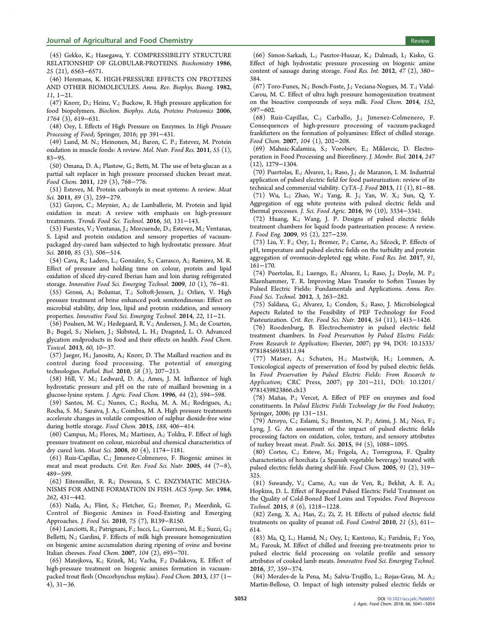#### <span id="page-13-0"></span>**Journal of Agricultural and Food Chemistry Review Agricultural and Food Chemistry** Review Review Review Review Review

(45) Gekko, K.; Hasegawa, Y. COMPRESSIBILITY STRUCTURE RELATIONSHIP OF GLOBULAR-PROTEINS. Biochemistry 1986, 25 (21), 6563−6571.

(46) Heremans, K. HIGH-PRESSURE EFFECTS ON PROTEINS AND OTHER BIOMOLECULES. Annu. Rev. Biophys. Bioeng. 1982, 11, 1−21.

(47) Knorr, D.; Heinz, V.; Buckow, R. High pressure application for food biopolymers. Biochim. Biophys. Acta, Proteins Proteomics 2006, 1764 (3), 619−631.

(48) Oey, I. Effects of High Pressure on Enzymes. In High Pressure Processing of Food; Springer, 2016; pp 391−431.

(49) Lund, M. N.; Heinonen, M.; Baron, C. P.; Estevez, M. Protein oxidation in muscle foods: A review. Mol. Nutr. Food Res. 2011, 55 (1), 83−95.

(50) Omana, D. A.; Plastow, G.; Betti, M. The use of beta-glucan as a partial salt replacer in high pressure processed chicken breast meat. Food Chem. 2011, 129 (3), 768−776.

(51) Estevez, M. Protein carbonyls in meat systems: A review. Meat Sci. 2011, 89 (3), 259−279.

(52) Guyon, C.; Meynier, A.; de Lamballerie, M. Protein and lipid oxidation in meat: A review with emphasis on high-pressure treatments. Trends Food Sci. Technol. 2016, 50, 131−143.

(53) Fuentes, V.; Ventanas, J.; Morcuende, D.; Estevez, M.; Ventanas, S. Lipid and protein oxidation and sensory properties of vacuumpackaged dry-cured ham subjected to high hydrostatic pressure. Meat Sci. 2010, 85 (3), 506–514.

(54) Cava, R.; Ladero, L.; Gonzalez, S.; Carrasco, A.; Ramirez, M. R. Effect of pressure and holding time on colour, protein and lipid oxidation of sliced dry-cured Iberian ham and loin during refrigerated storage. Innovative Food Sci. Emerging Technol. 2009, 10 (1), 76−81.

(55) Grossi, A.; Bolumar, T.; Soltoft-Jensen, J.; Orlien, V. High pressure treatment of brine enhanced pork semitendinosus: Effect on microbial stability, drip loss, lipid and protein oxidation, and sensory properties. Innovative Food Sci. Emerging Technol. 2014, 22, 11−21.

(56) Poulsen, M. W.; Hedegaard, R. V.; Andersen, J. M.; de Courten, B.; Bugel, S.; Nielsen, J.; Skibsted, L. H.; Dragsted, L. O. Advanced glycation endproducts in food and their effects on health. Food Chem. Toxicol. 2013, 60, 10−37.

(57) Jaeger, H.; Janositz, A.; Knorr, D. The Maillard reaction and its control during food processing. The potential of emerging technologies. Pathol. Biol. 2010, 58 (3), 207−213.

(58) Hill, V. M.; Ledward, D. A.; Ames, J. M. Influence of high hydrostatic pressure and pH on the rate of maillard browning in a glucose-lysine system. J. Agric. Food Chem. 1996, 44 (2), 594−598.

(59) Santos, M. C.; Nunes, C.; Rocha, M. A. M.; Rodrigues, A.; Rocha, S. M.; Saraiva, J. A.; Coimbra, M. A. High pressure treatments accelerate changes in volatile composition of sulphur dioxide-free wine during bottle storage. Food Chem. 2015, 188, 406−414.

(60) Campus, M.; Flores, M.; Martinez, A.; Toldra, F. Effect of high pressure treatment on colour, microbial and chemical characteristics of dry cured loin. Meat Sci. 2008, 80 (4), 1174−1181.

(61) Ruiz-Capillas, C.; Jimenez-Colmenero, F. Biogenic amines in meat and meat products. Crit. Rev. Food Sci. Nutr. 2005, 44 (7−8), 489−599.

(62) Eitenmiller, R. R.; Desouza, S. C. ENZYMATIC MECHA-NISMS FOR AMINE FORMATION IN FISH. ACS Symp. Ser. 1984, 262, 431−442.

(63) Naila, A.; Flint, S.; Fletcher, G.; Bremer, P.; Meerdink, G. Control of Biogenic Amines in Food-Existing and Emerging Approaches. J. Food Sci. 2010, 75 (7), R139−R150.

(64) Lanciotti, R.; Patrignani, F.; Iucci, L.; Guerzoni, M. E.; Suzzi, G.; Belletti, N.; Gardini, F. Effects of milk high pressure homogenization on biogenic amine accumulation during ripening of ovine and bovine Italian cheeses. Food Chem. 2007, 104 (2), 693−701.

(65) Matejkova, K.; Krizek, M.; Vacha, F.; Dadakova, E. Effect of high-pressure treatment on biogenic amines formation in vacuumpacked trout flesh (Oncorhynchus mykiss). Food Chem. 2013, 137 (1− 4), 31−36.

(66) Simon-Sarkadi, L.; Pasztor-Huszar, K.; Dalmadi, I.; Kisko, G. Effect of high hydrostatic pressure processing on biogenic amine content of sausage during storage. Food Res. Int. 2012, 47 (2), 380− 384.

(67) Toro-Funes, N.; Bosch-Fuste, J.; Veciana-Nogues, M. T.; Vidal-Carou, M. C. Effect of ultra high pressure homogenization treatment on the bioactive compounds of soya milk. Food Chem. 2014, 152, 597−602.

(68) Ruiz-Capillas, C.; Carballo, J.; Jimenez-Colmenero, F. Consequences of high-pressure processing of vacuum-packaged frankfurters on the formation of polyamines: Effect of chilled storage. Food Chem. 2007, 104 (1), 202−208.

(69) Mahnic-Kalamiza, S.; Vorobiev, E.; Miklavcic, D. Electroporation in Food Processing and Biorefinery. J. Membr. Biol. 2014, 247 (12), 1279−1304.

(70) Puertolas, E.; Alvarez, I.; Raso, J.; de Maranon, I. M. Industrial application of pulsed electric field for food pasteurization: review of its technical and commercial viability. CyTA–J. Food 2013, 11 (1), 81−88.

(71) Wu, L.; Zhao, W.; Yang, R. J.; Yan, W. X.; Sun, Q. Y. Aggregation of egg white proteins with pulsed electric fields and thermal processes. J. Sci. Food Agric. 2016, 96 (10), 3334−3341.

(72) Huang, K.; Wang, J. P. Designs of pulsed electric fields treatment chambers for liquid foods pasteurization process: A review. J. Food Eng. 2009, 95 (2), 227−239.

(73) Liu, Y. F.; Oey, I.; Bremer, P.; Carne, A.; Silcock, P. Effects of pH, temperature and pulsed electric fields on the turbidity and protein aggregation of ovomucin-depleted egg white. Food Res. Int. 2017, 91, 161−170.

(74) Puertolas, E.; Luengo, E.; Alvarez, I.; Raso, J.; Doyle, M. P.; Klaenhammer, T. R. Improving Mass Transfer to Soften Tissues by Pulsed Electric Fields: Fundamentals and Applications. Annu. Rev. Food Sci. Technol. 2012, 3, 263−282.

(75) Saldana, G.; Alvarez, I.; Condon, S.; Raso, J. Microbiological Aspects Related to the Feasibility of PEF Technology for Food Pasteurization. Crit. Rev. Food Sci. Nutr. 2014, 54 (11), 1415−1426.

(76) Roodenburg, B. Electrochemistry in pulsed electric field treatment chambers. In Food Preservation by Pulsed Electric Fields: From Research to Application; Elsevier, 2007; pp 94, DOI: 10.1533/ 9781845693831.1.94

(77) Matser, A.; Schuten, H.; Mastwijk, H.; Lommen, A. Toxicological aspects of preservation of food by pulsed electric fields. In Food Preservation by Pulsed Electric Fields: From Research to Application; CRC Press, 2007; pp 201−211, DOI: 10.1201/ 9781439823866.ch13

(78) Mañ as, P.; Vercet, A. Effect of PEF on enzymes and food constituents. In Pulsed Electric Fields Technology for the Food Industry; Springer, 2006; pp 131−151.

(79) Arroyo, C.; Eslami, S.; Brunton, N. P.; Arimi, J. M.; Noci, F.; Lyng, J. G. An assessment of the impact of pulsed electric fields processing factors on oxidation, color, texture, and sensory attributes of turkey breast meat. Poult. Sci. 2015, 94 (5), 1088−1095.

(80) Cortes, C.; Esteve, M.; Frigola, A.; Torregrosa, F. Quality characteristics of horchata (a Spanish vegetable beverage) treated with pulsed electric fields during shelf-life. Food Chem. 2005, 91 (2), 319− 325.

(81) Suwandy, V.; Carne, A.; van de Ven, R.; Bekhit, A. E. A.; Hopkins, D. L. Effect of Repeated Pulsed Electric Field Treatment on the Quality of Cold-Boned Beef Loins and Topsides. Food Bioprocess Technol. 2015, 8 (6), 1218−1228.

(82) Zeng, X. A.; Han, Z.; Zi, Z. H. Effects of pulsed electric field treatments on quality of peanut oil. Food Control 2010, 21 (5), 611− 614.

(83) Ma, Q. L.; Hamid, N.; Oey, I.; Kantono, K.; Faridnia, F.; Yoo, M.; Farouk, M. Effect of chilled and freezing pre-treatments prior to pulsed electric field processing on volatile profile and sensory attributes of cooked lamb meats. Innovative Food Sci. Emerging Technol. 2016, 37, 359−374.

(84) Morales-de la Pena, M.; Salvia-Trujillo, L.; Rojas-Grau, M. A.; Martin-Belloso, O. Impact of high intensity pulsed electric fields or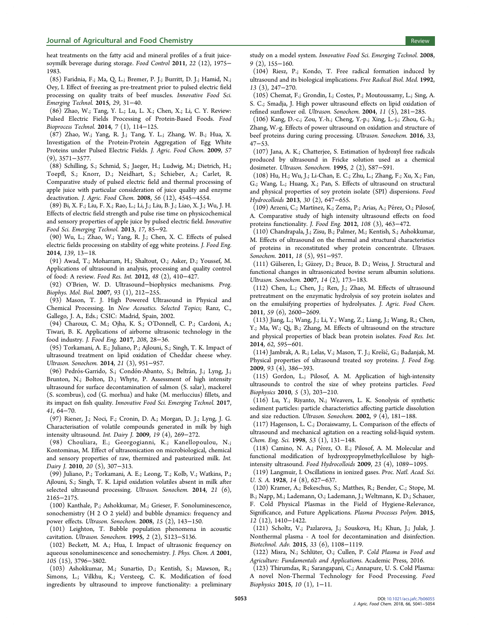<span id="page-14-0"></span>heat treatments on the fatty acid and mineral profiles of a fruit juicesoymilk beverage during storage. Food Control 2011, 22 (12), 1975− 1983.

(85) Faridnia, F.; Ma, Q. L.; Bremer, P. J.; Burritt, D. J.; Hamid, N.; Oey, I. Effect of freezing as pre-treatment prior to pulsed electric field processing on quality traits of beef muscles. Innovative Food Sci. Emerging Technol. 2015, 29, 31−40.

(86) Zhao, W.; Tang, Y. L.; Lu, L. X.; Chen, X.; Li, C. Y. Review: Pulsed Electric Fields Processing of Protein-Based Foods. Food Bioprocess Technol. 2014, 7 (1), 114−125.

(87) Zhao, W.; Yang, R. J.; Tang, Y. L.; Zhang, W. B.; Hua, X. Investigation of the Protein-Protein Aggregation of Egg White Proteins under Pulsed Electric Fields. J. Agric. Food Chem. 2009, 57 (9), 3571−3577.

(88) Schilling, S.; Schmid, S.; Jaeger, H.; Ludwig, M.; Dietrich, H.; Toepfl, S.; Knorr, D.; Neidhart, S.; Schieber, A.; Carlet, R. Comparative study of pulsed electric field and thermal processing of apple juice with particular consideration of juice quality and enzyme deactivation. J. Agric. Food Chem. 2008, 56 (12), 4545−4554.

(89) Bi, X. F.; Liu, F. X.; Rao, L.; Li, J.; Liu, B. J.; Liao, X. J.; Wu, J. H. Effects of electric field strength and pulse rise time on physicochemical and sensory properties of apple juice by pulsed electric field. Innovative Food Sci. Emerging Technol. 2013, 17, 85−92.

(90) Wu, L.; Zhao, W.; Yang, R. J.; Chen, X. C. Effects of pulsed electric fields processing on stability of egg white proteins. J. Food Eng. 2014, 139, 13−18.

(91) Awad, T.; Moharram, H.; Shaltout, O.; Asker, D.; Youssef, M. Applications of ultrasound in analysis, processing and quality control of food: A review. Food Res. Int. 2012, 48 (2), 410−427.

(92) O'Brien, W. D. Ultrasound−biophysics mechanisms. Prog. Biophys. Mol. Biol. 2007, 93 (1), 212−255.

(93) Mason, T. J. High Powered Ultrasound in Physical and Chemical Processing. In New Acoustics. Selected Topics; Ranz, C., Gallego, J. A., Eds.; CSIC: Madrid, Spain, 2002.

(94) Charoux, C. M.; Ojha, K. S.; O'Donnell, C. P.; Cardoni, A.; Tiwari, B. K. Applications of airborne ultrasonic technology in the food industry. J. Food Eng. 2017, 208, 28−36.

(95) Torkamani, A. E.; Juliano, P.; Ajlouni, S.; Singh, T. K. Impact of ultrasound treatment on lipid oxidation of Cheddar cheese whey. Ultrason. Sonochem. 2014, 21 (3), 951−957.

(96) Pedrós-Garrido, S.; Condón-Abanto, S.; Beltrán, J.; Lyng, J.; Brunton, N.; Bolton, D.; Whyte, P. Assessment of high intensity ultrasound for surface decontamination of salmon (S. salar), mackerel (S. scombrus), cod (G. morhua) and hake (M. merluccius) fillets, and its impact on fish quality. Innovative Food Sci. Emerging Technol. 2017, 41, 64−70.

(97) Riener, J.; Noci, F.; Cronin, D. A.; Morgan, D. J.; Lyng, J. G. Characterisation of volatile compounds generated in milk by high intensity ultrasound. Int. Dairy J. 2009, 19 (4), 269−272.

(98) Chouliara, E.; Georgogianni, K.; Kanellopoulou, N.; Kontominas, M. Effect of ultrasonication on microbiological, chemical and sensory properties of raw, thermized and pasteurized milk. Int. Dairy J. 2010, 20 (5), 307–313.

(99) Juliano, P.; Torkamani, A. E.; Leong, T.; Kolb, V.; Watkins, P.; Ajlouni, S.; Singh, T. K. Lipid oxidation volatiles absent in milk after selected ultrasound processing. Ultrason. Sonochem. 2014, 21 (6), 2165−2175.

(100) Kanthale, P.; Ashokkumar, M.; Grieser, F. Sonoluminescence, sonochemistry (H 2 O 2 yield) and bubble dynamics: frequency and power effects. Ultrason. Sonochem. 2008, 15 (2), 143−150.

(101) Leighton, T. Bubble population phenomena in acoustic cavitation. Ultrason. Sonochem. 1995, 2 (2), S123−S136.

(102) Beckett, M. A.; Hua, I. Impact of ultrasonic frequency on aqueous sonoluminescence and sonochemistry. J. Phys. Chem. A 2001, 105 (15), 3796−3802.

(103) Ashokkumar, M.; Sunartio, D.; Kentish, S.; Mawson, R.; Simons, L.; Vilkhu, K.; Versteeg, C. K. Modification of food ingredients by ultrasound to improve functionality: a preliminary study on a model system. Innovative Food Sci. Emerging Technol. 2008, 9 (2), 155−160.

(104) Riesz, P.; Kondo, T. Free radical formation induced by ultrasound and its biological implications. Free Radical Biol. Med. 1992, 13 (3), 247−270.

(105) Chemat, F.; Grondin, I.; Costes, P.; Moutoussamy, L.; Sing, A. S. C.; Smadja, J. High power ultrasound effects on lipid oxidation of refined sunflower oil. Ultrason. Sonochem. 2004, 11 (5), 281−285.

(106) Kang, D.-c.; Zou, Y.-h.; Cheng, Y.-p.; Xing, L.-j.; Zhou, G.-h.; Zhang, W.-g. Effects of power ultrasound on oxidation and structure of beef proteins during curing processing. Ultrason. Sonochem. 2016, 33, 47−53.

(107) Jana, A. K.; Chatterjee, S. Estimation of hydroxyl free radicals produced by ultrasound in Fricke solution used as a chemical dosimeter. Ultrason. Sonochem. 1995, 2 (2), S87−S91.

(108) Hu, H.; Wu, J.; Li-Chan, E. C.; Zhu, L.; Zhang, F.; Xu, X.; Fan, G.; Wang, L.; Huang, X.; Pan, S. Effects of ultrasound on structural and physical properties of soy protein isolate (SPI) dispersions. Food Hydrocolloids 2013, 30 (2), 647−655.

(109) Arzeni, C.; Martínez, K.; Zema, P.; Arias, A.; Pérez, O.; Pilosof, A. Comparative study of high intensity ultrasound effects on food proteins functionality. J. Food Eng. 2012, 108 (3), 463−472.

(110) Chandrapala, J.; Zisu, B.; Palmer, M.; Kentish, S.; Ashokkumar, M. Effects of ultrasound on the thermal and structural characteristics of proteins in reconstituted whey protein concentrate. Ultrason. Sonochem. 2011, 18 (5), 951−957.

(111) Gülseren, İ .; Gü zey, D.; Bruce, B. D.; Weiss, J. Structural and functional changes in ultrasonicated bovine serum albumin solutions. Ultrason. Sonochem. 2007, 14 (2), 173−183.

(112) Chen, L.; Chen, J.; Ren, J.; Zhao, M. Effects of ultrasound pretreatment on the enzymatic hydrolysis of soy protein isolates and on the emulsifying properties of hydrolysates. J. Agric. Food Chem. 2011, 59 (6), 2600−2609.

(113) Jiang, L.; Wang, J.; Li, Y.; Wang, Z.; Liang, J.; Wang, R.; Chen, Y.; Ma, W.; Qi, B.; Zhang, M. Effects of ultrasound on the structure and physical properties of black bean protein isolates. Food Res. Int. 2014, 62, 595−601.

(114) Jambrak, A. R.; Lelas, V.; Mason, T. J.; Krešić, G.; Badanjak, M. Physical properties of ultrasound treated soy proteins. J. Food Eng. 2009, 93 (4), 386−393.

(115) Gordon, L.; Pilosof, A. M. Application of high-intensity ultrasounds to control the size of whey proteins particles. Food Biophysics 2010, 5 (3), 203−210.

(116) Lu, Y.; Riyanto, N.; Weavers, L. K. Sonolysis of synthetic sediment particles: particle characteristics affecting particle dissolution and size reduction. Ultrason. Sonochem. 2002, 9 (4), 181−188.

(117) Hagenson, L. C.; Doraiswamy, L. Comparison of the effects of ultrasound and mechanical agitation on a reacting solid-liquid system. Chem. Eng. Sci. 1998, 53 (1), 131−148.

(118) Camino, N. A.; Pérez, O. E.; Pilosof, A. M. Molecular and functional modification of hydroxypropylmethylcellulose by highintensity ultrasound. Food Hydrocolloids 2009, 23 (4), 1089−1095.

(119) Langmuir, I. Oscillations in ionized gases. Proc. Natl. Acad. Sci. U. S. A. 1928, 14 (8), 627−637.

(120) Kramer, A.; Bekeschus, S.; Matthes, R.; Bender, C.; Stope, M. B.; Napp, M.; Lademann, O.; Lademann, J.; Weltmann, K. D.; Schauer, F. Cold Physical Plasmas in the Field of Hygiene-Relevance, Significance, and Future Applications. Plasma Processes Polym. 2015, 12 (12), 1410−1422.

(121) Scholtz, V.; Pazlarova, J.; Souskova, H.; Khun, J.; Julak, J. Nonthermal plasma - A tool for decontamination and disinfection. Biotechnol. Adv. 2015, 33 (6), 1108−1119.

(122) Misra, N.; Schlüter, O.; Cullen, P. Cold Plasma in Food and Agriculture: Fundamentals and Applications. Academic Press, 2016.

(123) Thirumdas, R.; Sarangapani, C.; Annapure, U. S. Cold Plasma: A novel Non-Thermal Technology for Food Processing. Food Biophysics 2015, 10 (1), 1−11.